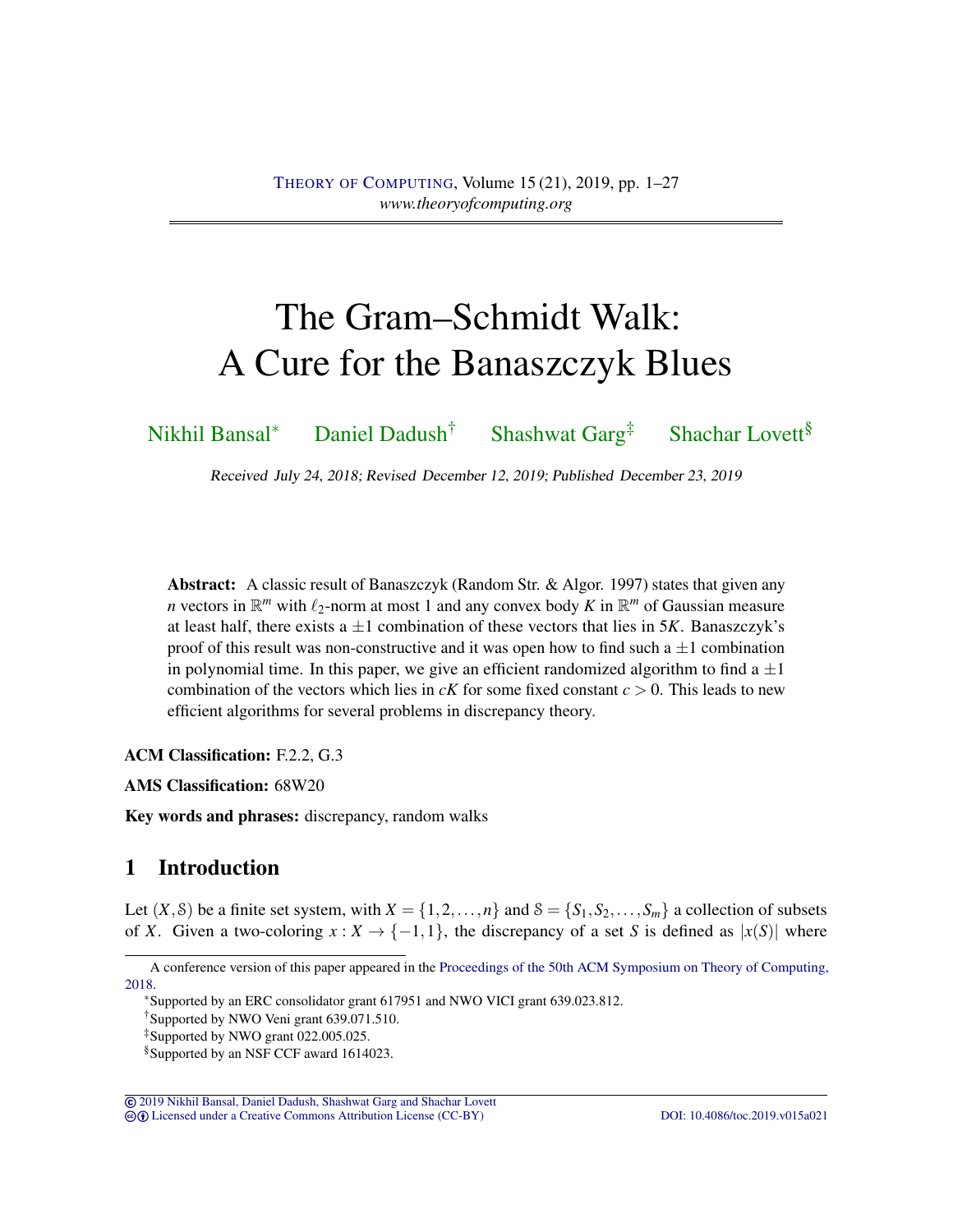# The Gram–Schmidt Walk: A Cure for the Banaszczyk Blues

[Nikhil Bansal](#page-24-0)<sup>∗</sup> [Daniel Dadush](#page-24-1)<sup>†</sup> [Shashwat Garg](#page-25-0)<sup>‡</sup> [Shachar Lovett](#page-25-1)<sup>§</sup>

Received July 24, 2018; Revised December 12, 2019; Published December 23, 2019

Abstract: A classic result of Banaszczyk (Random Str. & Algor. 1997) states that given any *n* vectors in  $\mathbb{R}^m$  with  $\ell_2$ -norm at most 1 and any convex body *K* in  $\mathbb{R}^m$  of Gaussian measure at least half, there exists a  $\pm 1$  combination of these vectors that lies in 5*K*. Banaszczyk's proof of this result was non-constructive and it was open how to find such a  $\pm 1$  combination in polynomial time. In this paper, we give an efficient randomized algorithm to find a  $\pm 1$ combination of the vectors which lies in  $cK$  for some fixed constant  $c > 0$ . This leads to new efficient algorithms for several problems in discrepancy theory.

ACM Classification: F.2.2, G.3

AMS Classification: 68W20

Key words and phrases: discrepancy, random walks

# 1 Introduction

Let  $(X, \mathcal{S})$  be a finite set system, with  $X = \{1, 2, ..., n\}$  and  $\mathcal{S} = \{S_1, S_2, ..., S_m\}$  a collection of subsets of *X*. Given a two-coloring  $x : X \to \{-1,1\}$ , the discrepancy of a set *S* is defined as  $|x(S)|$  where

© [2019 Nikhil Bansal, Daniel Dadush, Shashwat Garg and Shachar Lovett](http://theoryofcomputing.org/copyright2009.html) cb [Licensed under a Creative Commons Attribution License \(CC-BY\)](http://creativecommons.org/licenses/by/3.0/) [DOI: 10.4086/toc.2019.v015a021](http://dx.doi.org/10.4086/toc.2019.v015a021)

A conference version of this paper appeared in the [Proceedings of the 50th ACM Symposium on Theory of Computing,](http://doi.org/10.1145/3188745.3188850) [2018.](http://doi.org/10.1145/3188745.3188850)

<sup>∗</sup>Supported by an ERC consolidator grant 617951 and NWO VICI grant 639.023.812.

<sup>†</sup>Supported by NWO Veni grant 639.071.510.

<sup>‡</sup>Supported by NWO grant 022.005.025.

<sup>§</sup>Supported by an NSF CCF award 1614023.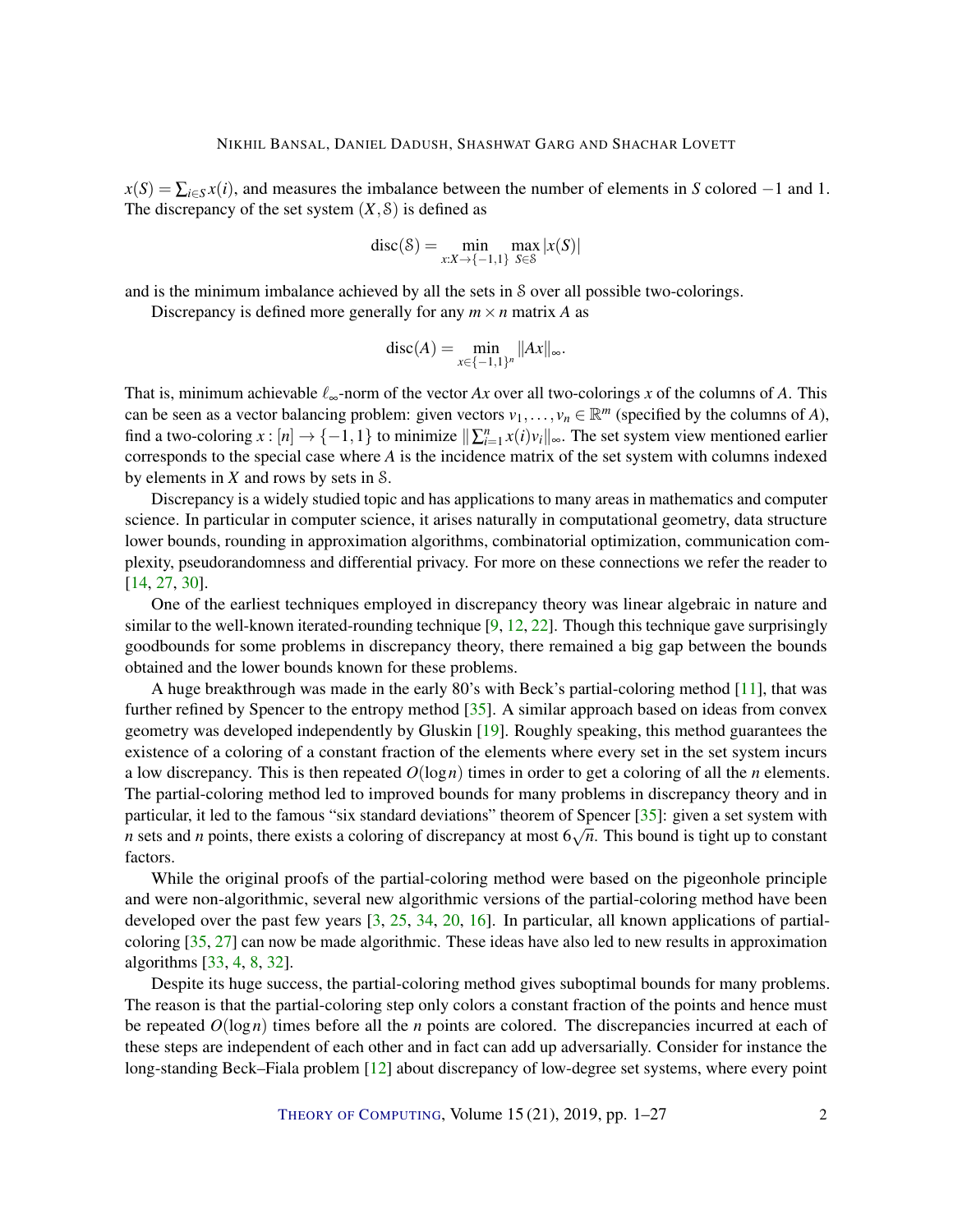<span id="page-1-0"></span> $x(S) = \sum_{i \in S} x(i)$ , and measures the imbalance between the number of elements in *S* colored −1 and 1. The discrepancy of the set system  $(X, \mathcal{S})$  is defined as

$$
disc(\mathcal{S}) = \min_{x:X \to \{-1,1\}} \max_{S \in \mathcal{S}} |x(S)|
$$

and is the minimum imbalance achieved by all the sets in S over all possible two-colorings.

Discrepancy is defined more generally for any  $m \times n$  matrix A as

$$
disc(A) = \min_{x \in \{-1,1\}^n} ||Ax||_{\infty}.
$$

That is, minimum achievable  $\ell_{\infty}$ -norm of the vector *Ax* over all two-colorings *x* of the columns of *A*. This can be seen as a vector balancing problem: given vectors  $v_1, \ldots, v_n \in \mathbb{R}^m$  (specified by the columns of *A*), find a two-coloring  $x : [n] \to \{-1, 1\}$  to minimize  $\|\sum_{i=1}^{n} x(i)v_i\|_{\infty}$ . The set system view mentioned earlier corresponds to the special case where *A* is the incidence matrix of the set system with columns indexed by elements in *X* and rows by sets in S.

Discrepancy is a widely studied topic and has applications to many areas in mathematics and computer science. In particular in computer science, it arises naturally in computational geometry, data structure lower bounds, rounding in approximation algorithms, combinatorial optimization, communication complexity, pseudorandomness and differential privacy. For more on these connections we refer the reader to [\[14,](#page-22-0) [27,](#page-23-0) [30\]](#page-23-1).

One of the earliest techniques employed in discrepancy theory was linear algebraic in nature and similar to the well-known iterated-rounding technique  $[9, 12, 22]$  $[9, 12, 22]$  $[9, 12, 22]$  $[9, 12, 22]$  $[9, 12, 22]$ . Though this technique gave surprisingly goodbounds for some problems in discrepancy theory, there remained a big gap between the bounds obtained and the lower bounds known for these problems.

A huge breakthrough was made in the early 80's with Beck's partial-coloring method [\[11\]](#page-22-3), that was further refined by Spencer to the entropy method [\[35\]](#page-24-2). A similar approach based on ideas from convex geometry was developed independently by Gluskin [\[19\]](#page-22-4). Roughly speaking, this method guarantees the existence of a coloring of a constant fraction of the elements where every set in the set system incurs a low discrepancy. This is then repeated *O*(log*n*) times in order to get a coloring of all the *n* elements. The partial-coloring method led to improved bounds for many problems in discrepancy theory and in particular, it led to the famous "six standard deviations" theorem of Spencer [\[35\]](#page-24-2): given a set system with *n* sets and *n* points, there exists a coloring of discrepancy at most 6 √ *n*. This bound is tight up to constant factors.

While the original proofs of the partial-coloring method were based on the pigeonhole principle and were non-algorithmic, several new algorithmic versions of the partial-coloring method have been developed over the past few years [\[3,](#page-21-0) [25,](#page-23-3) [34,](#page-24-3) [20,](#page-23-4) [16\]](#page-22-5). In particular, all known applications of partialcoloring [\[35,](#page-24-2) [27\]](#page-23-0) can now be made algorithmic. These ideas have also led to new results in approximation algorithms [\[33,](#page-24-4) [4,](#page-21-1) [8,](#page-22-6) [32\]](#page-23-5).

Despite its huge success, the partial-coloring method gives suboptimal bounds for many problems. The reason is that the partial-coloring step only colors a constant fraction of the points and hence must be repeated *O*(log*n*) times before all the *n* points are colored. The discrepancies incurred at each of these steps are independent of each other and in fact can add up adversarially. Consider for instance the long-standing Beck–Fiala problem [\[12\]](#page-22-2) about discrepancy of low-degree set systems, where every point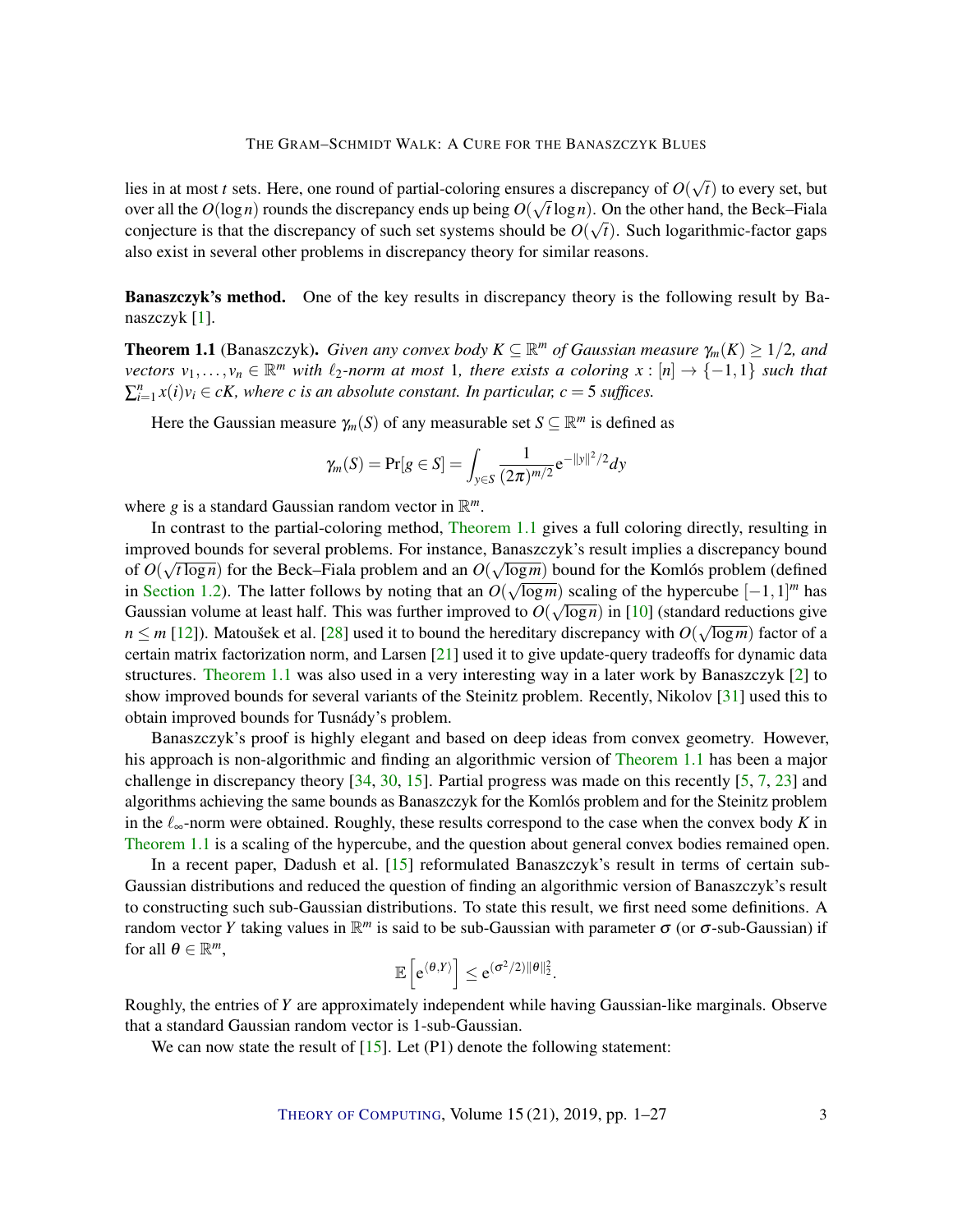<span id="page-2-1"></span>lies in at most *t* sets. Here, one round of partial-coloring ensures a discrepancy of *O*( √ area a discrepancy of  $O(\sqrt{t})$  to every set, but over all the  $O(\log n)$  rounds the discrepancy ends up being  $O(\sqrt{t}\log n)$ . On the other hand, the Beck–Fiala conjecture is that the discrepancy of such set systems should be  $O(\sqrt{t})$ . Such logarithmic-factor gaps also exist in several other problems in discrepancy theory for similar reasons.

Banaszczyk's method. One of the key results in discrepancy theory is the following result by Banaszczyk [\[1\]](#page-21-2).

<span id="page-2-0"></span>**Theorem 1.1** (Banaszczyk). *Given any convex body*  $K \subseteq \mathbb{R}^m$  *of Gaussian measure*  $\gamma_m(K) \geq 1/2$ *, and vectors*  $v_1, \ldots, v_n \in \mathbb{R}^m$  *with*  $\ell_2$ -norm at most 1, there exists a coloring  $x : [n] \to \{-1,1\}$  *such that*  $\sum_{i=1}^{n} x(i)v_i \in cK$ , where c is an absolute constant. In particular,  $c = 5$  suffices.

Here the Gaussian measure  $\gamma_m(S)$  of any measurable set  $S \subseteq \mathbb{R}^m$  is defined as

$$
\gamma_m(S) = \Pr[g \in S] = \int_{y \in S} \frac{1}{(2\pi)^{m/2}} e^{-\|y\|^2/2} dy
$$

where *g* is a standard Gaussian random vector in  $\mathbb{R}^m$ .

In contrast to the partial-coloring method, [Theorem](#page-2-0) [1.1](#page-2-0) gives a full coloring directly, resulting in improved bounds for several problems. For instance, Banaszczyk's result implies a discrepancy bound √ √ of  $O(\sqrt{\log n})$  for the Beck–Fiala problem and an  $O(\sqrt{\log m})$  bound for the Komlós problem (defined in [Section](#page-4-0) [1.2\)](#page-4-0). The latter follows by noting that an  $O(\sqrt{\log m})$  scaling of the hypercube  $[-1,1]^m$  has Gaussian volume at least half. This was further improved to  $O(\sqrt{\log n})$  in [\[10\]](#page-22-7) (standard reductions give  $n \le m$  [\[12\]](#page-22-2)). Matoušek et al. [\[28\]](#page-23-6) used it to bound the hereditary discrepancy with  $O(\sqrt{\log m})$  factor of a certain matrix factorization norm, and Larsen [\[21\]](#page-23-7) used it to give update-query tradeoffs for dynamic data structures. [Theorem](#page-2-0) [1.1](#page-2-0) was also used in a very interesting way in a later work by Banaszczyk [\[2\]](#page-21-3) to show improved bounds for several variants of the Steinitz problem. Recently, Nikolov [\[31\]](#page-23-8) used this to obtain improved bounds for Tusnády's problem.

Banaszczyk's proof is highly elegant and based on deep ideas from convex geometry. However, his approach is non-algorithmic and finding an algorithmic version of [Theorem](#page-2-0) [1.1](#page-2-0) has been a major challenge in discrepancy theory [\[34,](#page-24-3) [30,](#page-23-1) [15\]](#page-22-8). Partial progress was made on this recently [\[5,](#page-21-4) [7,](#page-22-9) [23\]](#page-23-9) and algorithms achieving the same bounds as Banaszczyk for the Komlós problem and for the Steinitz problem in the  $\ell_{\infty}$ -norm were obtained. Roughly, these results correspond to the case when the convex body *K* in [Theorem](#page-2-0) [1.1](#page-2-0) is a scaling of the hypercube, and the question about general convex bodies remained open.

In a recent paper, Dadush et al. [\[15\]](#page-22-8) reformulated Banaszczyk's result in terms of certain sub-Gaussian distributions and reduced the question of finding an algorithmic version of Banaszczyk's result to constructing such sub-Gaussian distributions. To state this result, we first need some definitions. A random vector *Y* taking values in  $\mathbb{R}^m$  is said to be sub-Gaussian with parameter  $\sigma$  (or  $\sigma$ -sub-Gaussian) if for all  $\theta \in \mathbb{R}^m$ ,

$$
\mathbb{E}\left[e^{\langle \theta, Y \rangle}\right] \leq e^{(\sigma^2/2) \|\theta\|_2^2}.
$$

Roughly, the entries of *Y* are approximately independent while having Gaussian-like marginals. Observe that a standard Gaussian random vector is 1-sub-Gaussian.

We can now state the result of  $[15]$ . Let  $(P1)$  denote the following statement: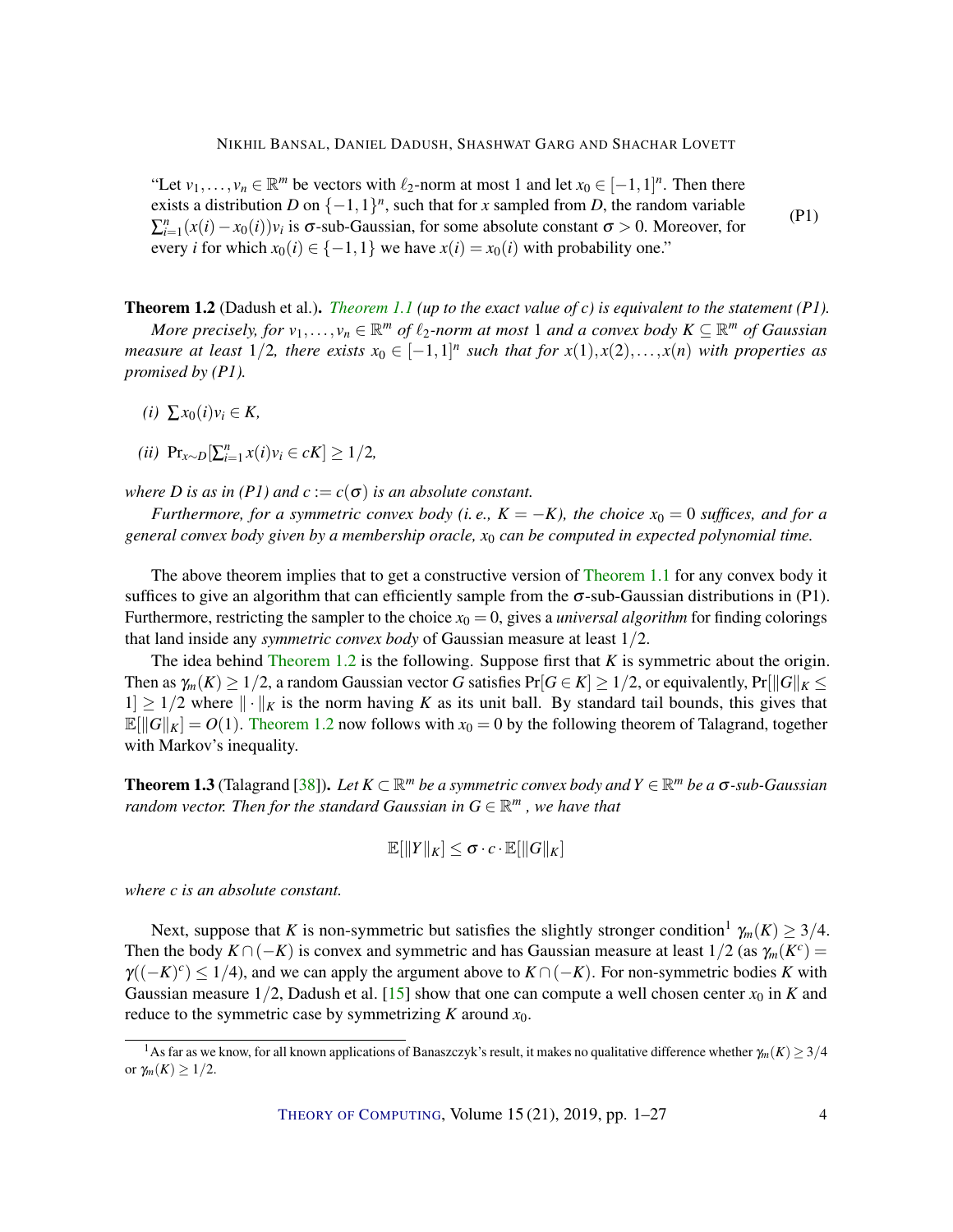<span id="page-3-1"></span>"Let  $v_1, \ldots, v_n \in \mathbb{R}^m$  be vectors with  $\ell_2$ -norm at most 1 and let  $x_0 \in [-1,1]^n$ . Then there exists a distribution *D* on  $\{-1,1\}^n$ , such that for *x* sampled from *D*, the random variable  $\sum_{i=1}^{n} (x(i) - x_0(i))v_i$  is  $\sigma$ -sub-Gaussian, for some absolute constant  $\sigma > 0$ . Moreover, for every *i* for which  $x_0(i) \in \{-1, 1\}$  we have  $x(i) = x_0(i)$  with probability one." (P1)

<span id="page-3-0"></span>Theorem 1.2 (Dadush et al.). *[Theorem](#page-2-0) [1.1](#page-2-0) (up to the exact value of c) is equivalent to the statement (P1).*

*More precisely, for*  $v_1, \ldots, v_n \in \mathbb{R}^m$  *of*  $\ell_2$ -norm at most 1 and a convex body  $K \subseteq \mathbb{R}^m$  *of Gaussian measure at least*  $1/2$ , there exists  $x_0 \in [-1,1]^n$  such that for  $x(1), x(2), \ldots, x(n)$  with properties as *promised by (P1).*

- $(i)$  ∑*x*<sub>0</sub> $(i)$ *v*<sub>*i*</sub> ∈ *K*,
- *(ii)* Pr<sub>*x*∼</sub>*D*[ $\sum_{i=1}^{n} x(i)v_i \in cK$ ] ≥ 1/2*,*

*where D is as in (P1) and*  $c := c(\sigma)$  *is an absolute constant.* 

*Furthermore, for a symmetric convex body (i.e.,*  $K = -K$ ), the choice  $x_0 = 0$  suffices, and for a *general convex body given by a membership oracle, x*<sup>0</sup> *can be computed in expected polynomial time.*

The above theorem implies that to get a constructive version of [Theorem](#page-2-0) [1.1](#page-2-0) for any convex body it suffices to give an algorithm that can efficiently sample from the  $\sigma$ -sub-Gaussian distributions in (P1). Furthermore, restricting the sampler to the choice  $x_0 = 0$ , gives a *universal algorithm* for finding colorings that land inside any *symmetric convex body* of Gaussian measure at least 1/2.

The idea behind [Theorem](#page-3-0) [1.2](#page-3-0) is the following. Suppose first that *K* is symmetric about the origin. Then as  $\gamma_m(K) \geq 1/2$ , a random Gaussian vector *G* satisfies  $Pr[G \in K] \geq 1/2$ , or equivalently,  $Pr[||G||_K \leq$  $1 \geq 1/2$  where  $\|\cdot\|_K$  is the norm having K as its unit ball. By standard tail bounds, this gives that  $\mathbb{E}[||G||_K] = O(1)$ . [Theorem](#page-3-0) [1.2](#page-3-0) now follows with  $x_0 = 0$  by the following theorem of Talagrand, together with Markov's inequality.

**Theorem 1.3** (Talagrand [\[38\]](#page-24-5)). Let  $K \subset \mathbb{R}^m$  be a symmetric convex body and  $Y \in \mathbb{R}^m$  be a  $\sigma$ -sub-Gaussian *random vector. Then for the standard Gaussian in*  $G \in \mathbb{R}^m$  *, we have that* 

$$
\mathbb{E}[\|Y\|_K] \leq \sigma \cdot c \cdot \mathbb{E}[\|G\|_K]
$$

*where c is an absolute constant.*

Next, suppose that *K* is non-symmetric but satisfies the slightly stronger condition<sup>1</sup>  $\gamma_m(K) \geq 3/4$ . Then the body  $K \cap (-K)$  is convex and symmetric and has Gaussian measure at least  $1/2$  (as  $\gamma_m(K^c)$ )  $\gamma((-K)^c) \leq 1/4$ ), and we can apply the argument above to  $K \cap (-K)$ . For non-symmetric bodies *K* with Gaussian measure  $1/2$ , Dadush et al. [\[15\]](#page-22-8) show that one can compute a well chosen center  $x_0$  in *K* and reduce to the symmetric case by symmetrizing *K* around *x*0.

<sup>&</sup>lt;sup>1</sup>As far as we know, for all known applications of Banaszczyk's result, it makes no qualitative difference whether  $\gamma_m(K) \geq 3/4$ or  $\gamma_m(K) \geq 1/2$ .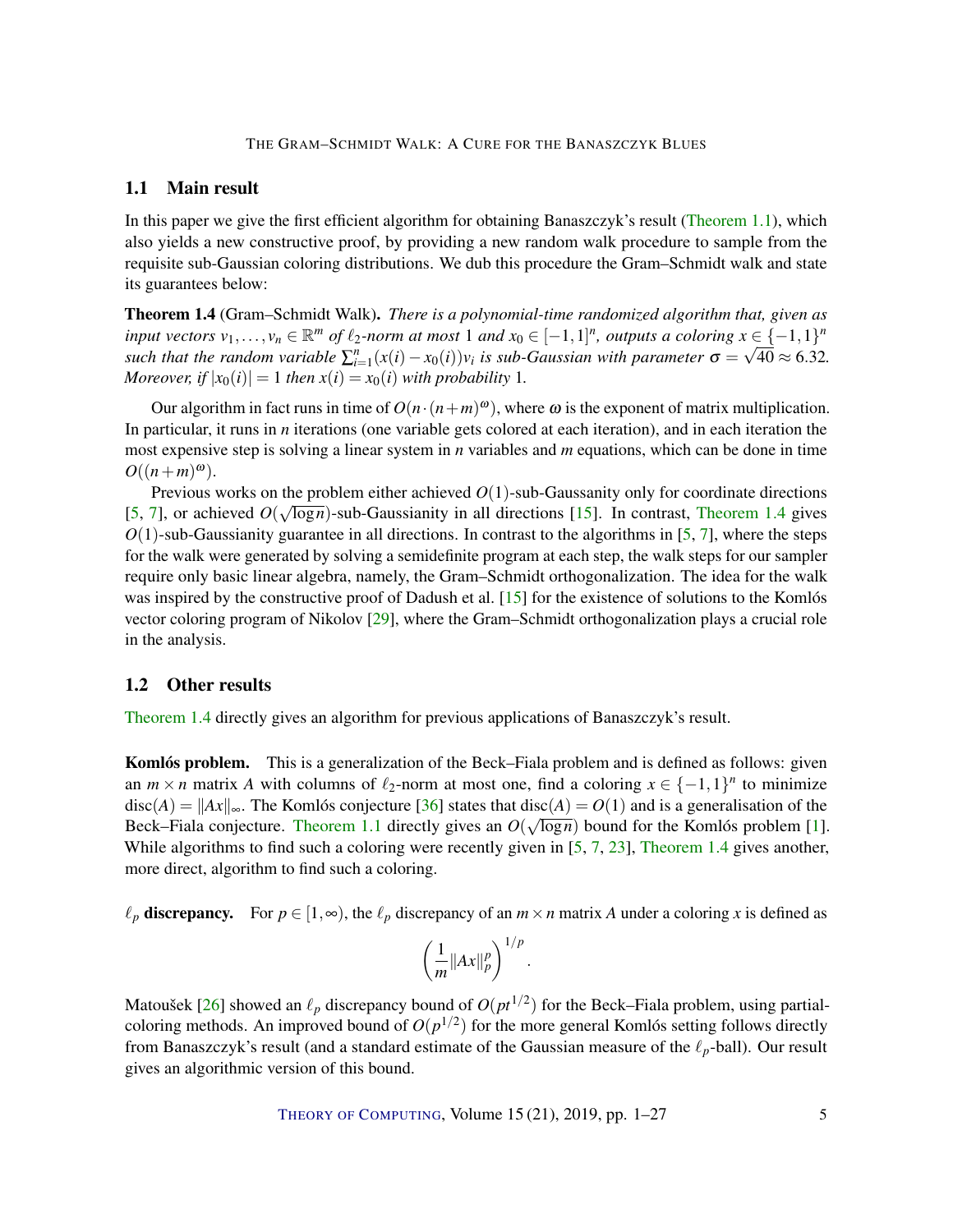#### THE GRAM–SCHMIDT WALK: A CURE FOR THE BANASZCZYK BLUES

### <span id="page-4-2"></span>1.1 Main result

In this paper we give the first efficient algorithm for obtaining Banaszczyk's result [\(Theorem](#page-2-0) [1.1\)](#page-2-0), which also yields a new constructive proof, by providing a new random walk procedure to sample from the requisite sub-Gaussian coloring distributions. We dub this procedure the Gram–Schmidt walk and state its guarantees below:

<span id="page-4-1"></span>Theorem 1.4 (Gram–Schmidt Walk). *There is a polynomial-time randomized algorithm that, given as input vectors*  $v_1, \ldots, v_n \in \mathbb{R}^m$  *of*  $\ell_2$ -norm at most 1 and  $x_0 \in [-1,1]^n$ , outputs a coloring  $x \in \{-1,1\}^n$ *such that the random variable*  $\sum_{i=1}^{n} (x(i) - x_0(i))v_i$  *is sub-Gaussian with parameter*  $\sigma =$ √  $40 \approx 6.32$ . *Moreover, if*  $|x_0(i)| = 1$  *then*  $x(i) = x_0(i)$  *with probability* 1*.* 

Our algorithm in fact runs in time of  $O(n \cdot (n+m)^\omega)$ , where  $\omega$  is the exponent of matrix multiplication. In particular, it runs in *n* iterations (one variable gets colored at each iteration), and in each iteration the most expensive step is solving a linear system in *n* variables and *m* equations, which can be done in time  $O((n+m)^{\omega}).$ 

Previous works on the problem either achieved  $O(1)$ -sub-Gaussanity only for coordinate directions [\[5,](#page-21-4) [7\]](#page-22-9), or achieved  $O(\sqrt{\log n})$ -sub-Gaussianity in all directions [\[15\]](#page-22-8). In contrast, [Theorem](#page-4-1) [1.4](#page-4-1) gives  $O(1)$ -sub-Gaussianity guarantee in all directions. In contrast to the algorithms in [\[5,](#page-21-4) [7\]](#page-22-9), where the steps for the walk were generated by solving a semidefinite program at each step, the walk steps for our sampler require only basic linear algebra, namely, the Gram–Schmidt orthogonalization. The idea for the walk was inspired by the constructive proof of Dadush et al. [\[15\]](#page-22-8) for the existence of solutions to the Komlós vector coloring program of Nikolov [\[29\]](#page-23-10), where the Gram–Schmidt orthogonalization plays a crucial role in the analysis.

## <span id="page-4-0"></span>1.2 Other results

[Theorem](#page-4-1) [1.4](#page-4-1) directly gives an algorithm for previous applications of Banaszczyk's result.

**Komlós problem.** This is a generalization of the Beck–Fiala problem and is defined as follows: given an  $m \times n$  matrix *A* with columns of  $\ell_2$ -norm at most one, find a coloring  $x \in \{-1,1\}^n$  to minimize disc(*A*) =  $||Ax||_{\infty}$ . The Komlós conjecture [\[36\]](#page-24-6) states that disc(*A*) = *O*(1) and is a generalisation of the Beck–Fiala conjecture. [Theorem](#page-2-0) [1.1](#page-2-0) directly gives an  $O(\sqrt{\log n})$  bound for the Komlós problem [\[1\]](#page-21-2). While algorithms to find such a coloring were recently given in [\[5,](#page-21-4) [7,](#page-22-9) [23\]](#page-23-9), [Theorem](#page-4-1) [1.4](#page-4-1) gives another, more direct, algorithm to find such a coloring.

 $\ell_p$  discrepancy. For  $p \in [1, \infty)$ , the  $\ell_p$  discrepancy of an  $m \times n$  matrix *A* under a coloring *x* is defined as

$$
\left(\frac{1}{m}||Ax||_p^p\right)^{1/p}.
$$

Matoušek [\[26\]](#page-23-11) showed an  $\ell_p$  discrepancy bound of  $O(pt^{1/2})$  for the Beck–Fiala problem, using partialcoloring methods. An improved bound of  $O(p^{1/2})$  for the more general Komlós setting follows directly from Banaszczyk's result (and a standard estimate of the Gaussian measure of the  $\ell_p$ -ball). Our result gives an algorithmic version of this bound.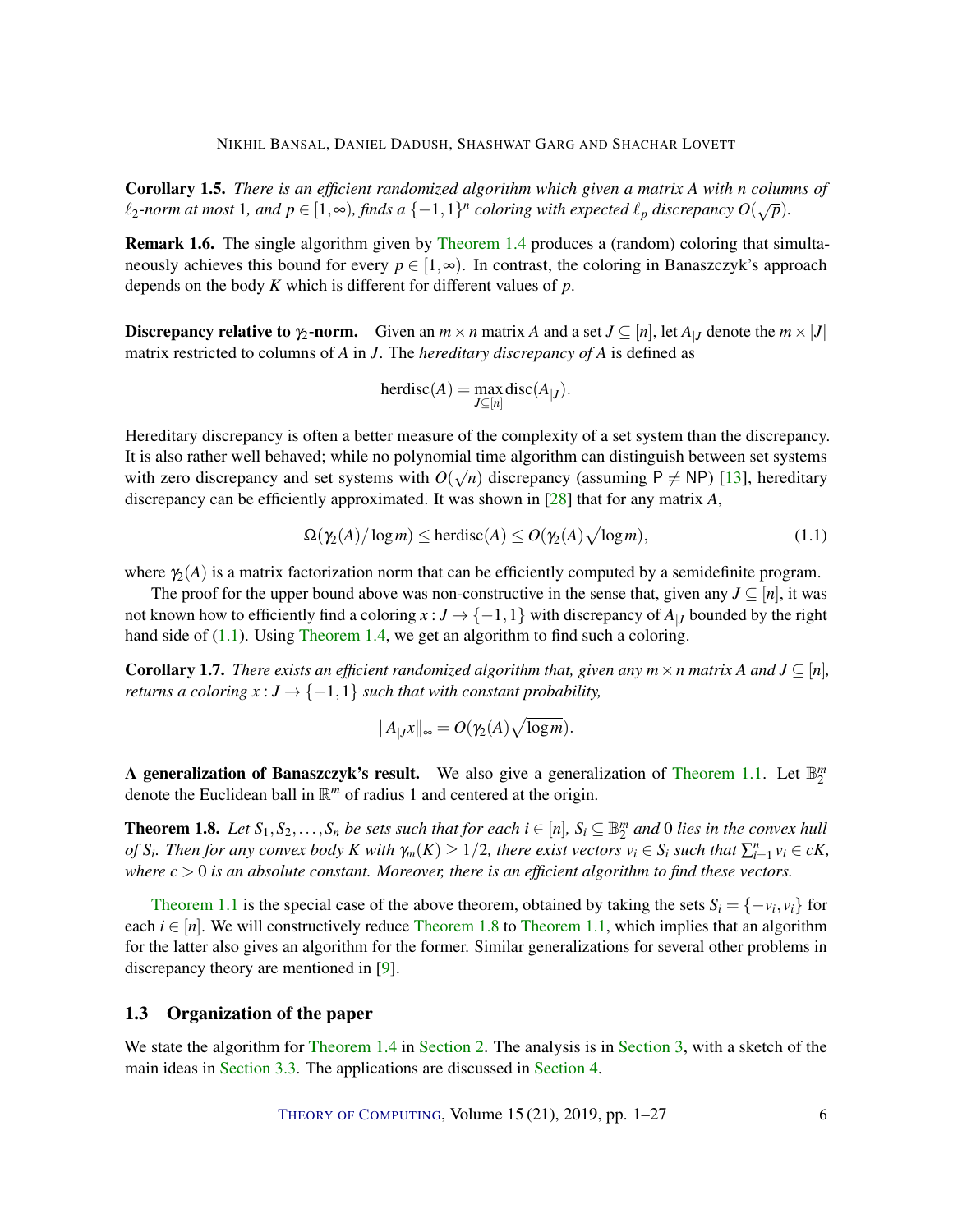<span id="page-5-4"></span><span id="page-5-2"></span>Corollary 1.5. *There is an efficient randomized algorithm which given a matrix A with n columns of*  $\ell_2$ -norm at most 1*,* and  $p \in [1, \infty)$ , finds a  $\{-1, 1\}^n$  coloring with expected  $\ell_p$  discrepancy  $O(\sqrt{p})$ .

Remark 1.6. The single algorithm given by [Theorem](#page-4-1) [1.4](#page-4-1) produces a (random) coloring that simultaneously achieves this bound for every  $p \in [1,\infty)$ . In contrast, the coloring in Banaszczyk's approach depends on the body *K* which is different for different values of *p*.

**Discrepancy relative to**  $\gamma_2$ **-norm.** Given an  $m \times n$  matrix *A* and a set  $J \subseteq [n]$ , let  $A_{|J}$  denote the  $m \times |J|$ matrix restricted to columns of *A* in *J*. The *hereditary discrepancy of A* is defined as

$$
herdisc(A) = \max_{J \subseteq [n]} \text{disc}(A_{|J}).
$$

Hereditary discrepancy is often a better measure of the complexity of a set system than the discrepancy. It is also rather well behaved; while no polynomial time algorithm can distinguish between set systems with zero discrepancy and set systems with  $O(\sqrt{n})$  discrepancy (assuming  $P \neq NP$ ) [\[13\]](#page-22-10), hereditary discrepancy can be efficiently approximated. It was shown in [\[28\]](#page-23-6) that for any matrix *A*,

<span id="page-5-0"></span>
$$
\Omega(\gamma_2(A)/\log m) \le \text{herdisc}(A) \le O(\gamma_2(A)\sqrt{\log m}),\tag{1.1}
$$

where  $\gamma_2(A)$  is a matrix factorization norm that can be efficiently computed by a semidefinite program.

The proof for the upper bound above was non-constructive in the sense that, given any  $J \subseteq [n]$ , it was not known how to efficiently find a coloring  $x : J \to \{-1,1\}$  with discrepancy of  $A_{|J}$  bounded by the right hand side of [\(1.1\)](#page-5-0). Using [Theorem](#page-4-1) [1.4,](#page-4-1) we get an algorithm to find such a coloring.

<span id="page-5-3"></span>**Corollary 1.7.** *There exists an efficient randomized algorithm that, given any*  $m \times n$  *matrix* A and  $J \subseteq [n]$ *, returns a coloring*  $x : J \to \{-1,1\}$  *such that with constant probability,* 

$$
||A_{|J}x||_{\infty}=O(\gamma_2(A)\sqrt{\log m}).
$$

A generalization of Banaszczyk's result. We also give a generalization of [Theorem](#page-2-0) [1.1.](#page-2-0) Let  $\mathbb{B}_{2}^{m}$ denote the Euclidean ball in R *<sup>m</sup>* of radius 1 and centered at the origin.

<span id="page-5-1"></span>**Theorem 1.8.** Let  $S_1, S_2, \ldots, S_n$  be sets such that for each  $i \in [n]$ ,  $S_i \subseteq \mathbb{B}_2^m$  and 0 lies in the convex hull of  $S_i$ . Then for any convex body K with  $\gamma_m(K) \ge 1/2$ , there exist vectors  $v_i \in S_i$  such that  $\sum_{i=1}^n v_i \in cK$ , *where c* > 0 *is an absolute constant. Moreover, there is an efficient algorithm to find these vectors.*

[Theorem](#page-2-0) [1.1](#page-2-0) is the special case of the above theorem, obtained by taking the sets  $S_i = \{-v_i, v_i\}$  for each  $i \in [n]$ . We will constructively reduce [Theorem](#page-2-0) [1.8](#page-5-1) to Theorem [1.1,](#page-2-0) which implies that an algorithm for the latter also gives an algorithm for the former. Similar generalizations for several other problems in discrepancy theory are mentioned in [\[9\]](#page-22-1).

# 1.3 Organization of the paper

We state the algorithm for [Theorem](#page-4-1) [1.4](#page-4-1) in [Section](#page-7-0) [2.](#page-6-0) The analysis is in Section [3,](#page-7-0) with a sketch of the main ideas in [Section](#page-9-0) [3.3.](#page-9-0) The applications are discussed in [Section](#page-17-0) [4.](#page-17-0)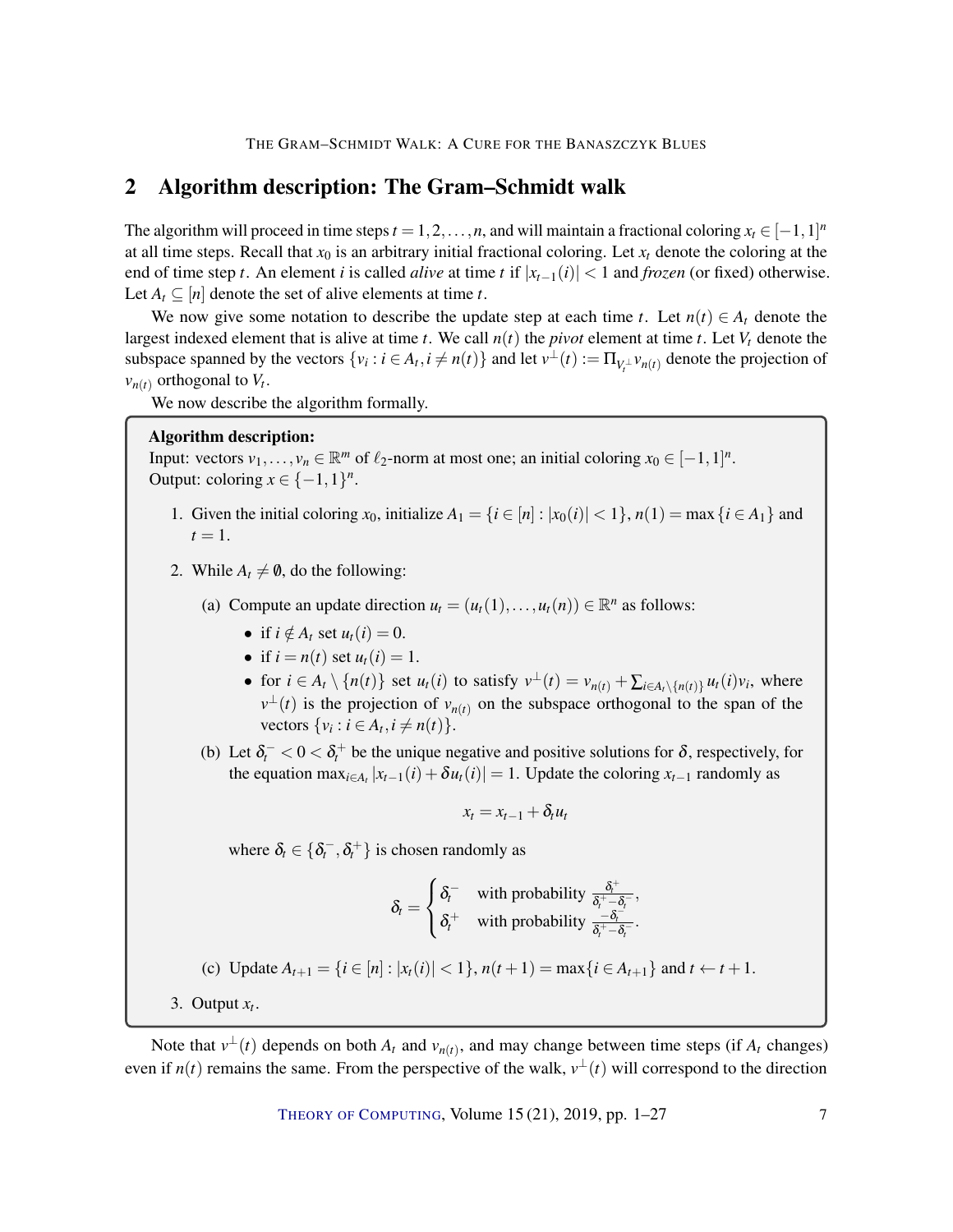# <span id="page-6-0"></span>2 Algorithm description: The Gram–Schmidt walk

The algorithm will proceed in time steps  $t = 1, 2, ..., n$ , and will maintain a fractional coloring  $x_t \in [-1, 1]^n$ at all time steps. Recall that  $x_0$  is an arbitrary initial fractional coloring. Let  $x_t$  denote the coloring at the end of time step *t*. An element *i* is called *alive* at time *t* if  $|x_{t-1}(i)| < 1$  and *frozen* (or fixed) otherwise. Let  $A_t \subseteq [n]$  denote the set of alive elements at time *t*.

We now give some notation to describe the update step at each time *t*. Let  $n(t) \in A_t$  denote the largest indexed element that is alive at time *t*. We call  $n(t)$  the *pivot* element at time *t*. Let  $V_t$  denote the subspace spanned by the vectors  $\{v_i : i \in A_t, i \neq n(t)\}$  and let  $v^{\perp}(t) := \prod_{V_i^{\perp}} v_{n(t)}$  denote the projection of  $v_{n(t)}$  orthogonal to  $V_t$ .

We now describe the algorithm formally.

#### Algorithm description:

Input: vectors  $v_1, \ldots, v_n \in \mathbb{R}^m$  of  $\ell_2$ -norm at most one; an initial coloring  $x_0 \in [-1,1]^n$ . Output: coloring  $x \in \{-1, 1\}^n$ .

- 1. Given the initial coloring  $x_0$ , initialize  $A_1 = \{i \in [n] : |x_0(i)| < 1\}$ ,  $n(1) = \max\{i \in A_1\}$  and  $t=1$ .
- 2. While  $A_t \neq \emptyset$ , do the following:
	- (a) Compute an update direction  $u_t = (u_t(1), \ldots, u_t(n)) \in \mathbb{R}^n$  as follows:
		- if  $i \notin A_t$  set  $u_t(i) = 0$ .
		- if  $i = n(t)$  set  $u_t(i) = 1$ .
		- for  $i \in A_t \setminus \{n(t)\}\$  set  $u_t(i)$  to satisfy  $v^{\perp}(t) = v_{n(t)} + \sum_{i \in A_t \setminus \{n(t)\}} u_t(i)v_i$ , where  $v^{\perp}(t)$  is the projection of  $v_{n(t)}$  on the subspace orthogonal to the span of the vectors  $\{v_i : i \in A_t, i \neq n(t)\}.$
	- (b) Let  $\delta_t^- < 0 < \delta_t^+$  be the unique negative and positive solutions for  $\delta$ , respectively, for the equation max<sub>*i*∈*A*<sup>*t*</sup></sup>  $|x_{t-1}(i) + \delta u_t(i)| = 1$ . Update the coloring *x*<sub>*t*-1</sub> randomly as</sub>

$$
x_t = x_{t-1} + \delta_t u_t
$$

where  $\delta_t \in \{\delta_t^-, \delta_t^+\}$  is chosen randomly as

$$
\delta_t = \begin{cases} \delta_t^- & \text{with probability } \frac{\delta_t^+}{\delta_t^+ - \delta_t^-}, \\ \delta_t^+ & \text{with probability } \frac{-\delta_t^-}{\delta_t^+ - \delta_t^-}. \end{cases}
$$

(c) Update 
$$
A_{t+1} = \{i \in [n] : |x_t(i)| < 1\}
$$
,  $n(t+1) = \max\{i \in A_{t+1}\}$  and  $t \leftarrow t+1$ .

3. Output  $x_t$ .

Note that  $v^{\perp}(t)$  depends on both  $A_t$  and  $v_{n(t)}$ , and may change between time steps (if  $A_t$  changes) even if  $n(t)$  remains the same. From the perspective of the walk,  $v^{\perp}(t)$  will correspond to the direction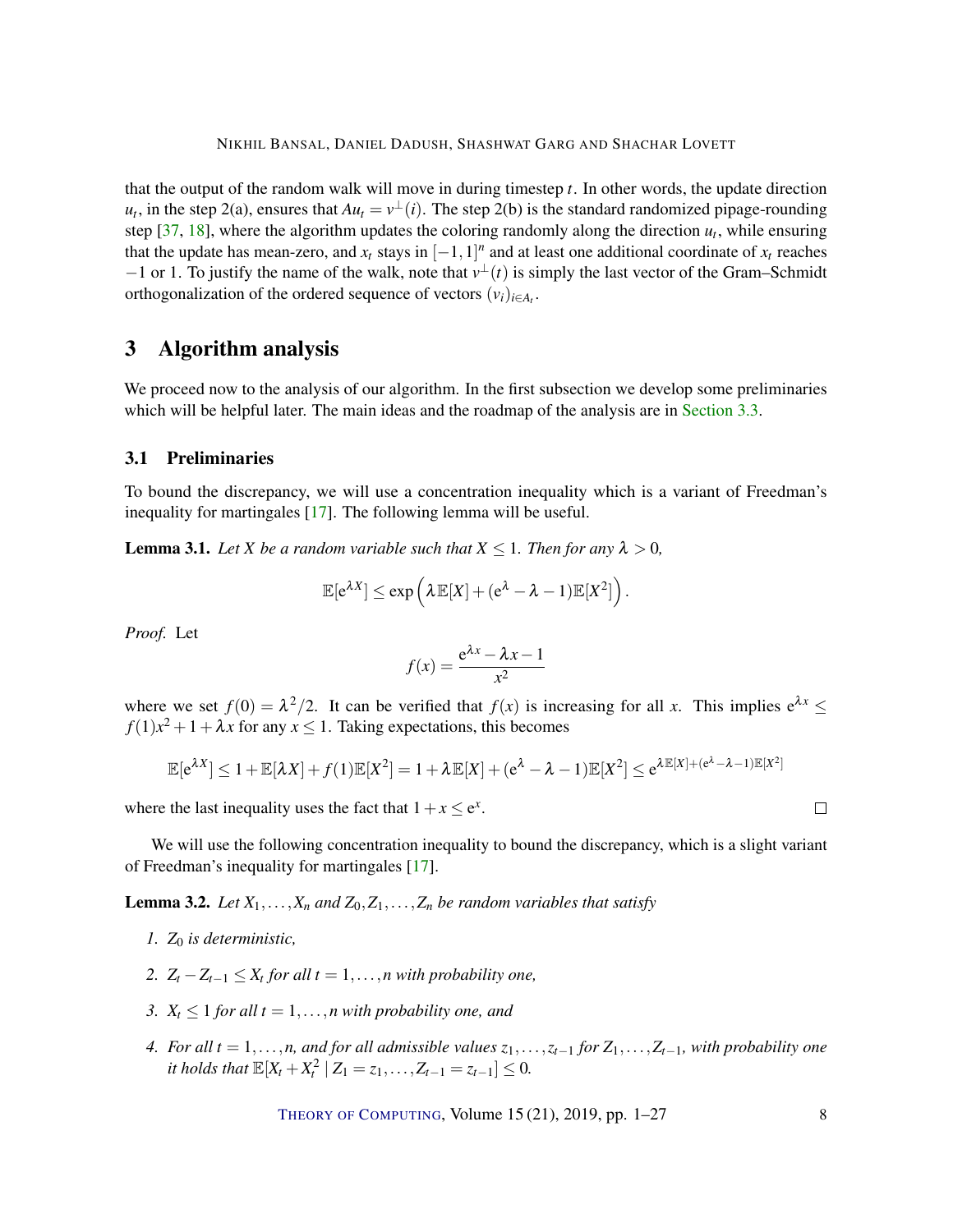<span id="page-7-4"></span>that the output of the random walk will move in during timestep *t*. In other words, the update direction  $u_t$ , in the step 2(a), ensures that  $Au_t = v^{\perp}(i)$ . The step 2(b) is the standard randomized pipage-rounding step  $[37, 18]$  $[37, 18]$  $[37, 18]$ , where the algorithm updates the coloring randomly along the direction  $u_t$ , while ensuring that the update has mean-zero, and  $x_t$  stays in  $[-1,1]^n$  and at least one additional coordinate of  $x_t$  reaches  $-1$  or 1. To justify the name of the walk, note that  $v^{\perp}(t)$  is simply the last vector of the Gram–Schmidt orthogonalization of the ordered sequence of vectors  $(v_i)_{i \in A_t}$ .

# <span id="page-7-0"></span>3 Algorithm analysis

We proceed now to the analysis of our algorithm. In the first subsection we develop some preliminaries which will be helpful later. The main ideas and the roadmap of the analysis are in [Section](#page-9-0) [3.3.](#page-9-0)

#### 3.1 Preliminaries

To bound the discrepancy, we will use a concentration inequality which is a variant of Freedman's inequality for martingales [\[17\]](#page-22-12). The following lemma will be useful.

<span id="page-7-1"></span>**Lemma 3.1.** Let X be a random variable such that  $X \leq 1$ . Then for any  $\lambda > 0$ ,

$$
\mathbb{E}[e^{\lambda X}] \leq \exp\left(\lambda \mathbb{E}[X] + (e^{\lambda} - \lambda - 1)\mathbb{E}[X^2]\right).
$$

*Proof.* Let

$$
f(x) = \frac{e^{\lambda x} - \lambda x - 1}{x^2}
$$

where we set  $f(0) = \lambda^2/2$ . It can be verified that  $f(x)$  is increasing for all *x*. This implies  $e^{\lambda x} \le$  $f(1)x^2 + 1 + \lambda x$  for any  $x \le 1$ . Taking expectations, this becomes

$$
\mathbb{E}[e^{\lambda X}] \le 1 + \mathbb{E}[\lambda X] + f(1)\mathbb{E}[X^2] = 1 + \lambda \mathbb{E}[X] + (e^{\lambda} - \lambda - 1)\mathbb{E}[X^2] \le e^{\lambda \mathbb{E}[X] + (e^{\lambda} - \lambda - 1)\mathbb{E}[X^2]}
$$

where the last inequality uses the fact that  $1 + x \le e^x$ .

We will use the following concentration inequality to bound the discrepancy, which is a slight variant of Freedman's inequality for martingales [\[17\]](#page-22-12).

<span id="page-7-3"></span>**Lemma 3.2.** *Let*  $X_1, \ldots, X_n$  *and*  $Z_0, Z_1, \ldots, Z_n$  *be random variables that satisfy* 

- *1. Z*<sup>0</sup> *is deterministic,*
- 2.  $Z_t Z_{t-1} \leq X_t$  for all  $t = 1, \ldots, n$  with probability one,
- *3.*  $X_t \leq 1$  *for all*  $t = 1, \ldots, n$  *with probability one, and*
- <span id="page-7-2"></span>*4. For all*  $t = 1, \ldots, n$ , and for all admissible values  $z_1, \ldots, z_{t-1}$  *for*  $Z_1, \ldots, Z_{t-1}$ , with probability one *it holds that*  $\mathbb{E}[X_t + X_t^2 \mid Z_1 = z_1, \ldots, Z_{t-1} = z_{t-1}] \leq 0.$

THEORY OF C[OMPUTING](http://dx.doi.org/10.4086/toc), Volume 15 (21), 2019, pp. 1–27 8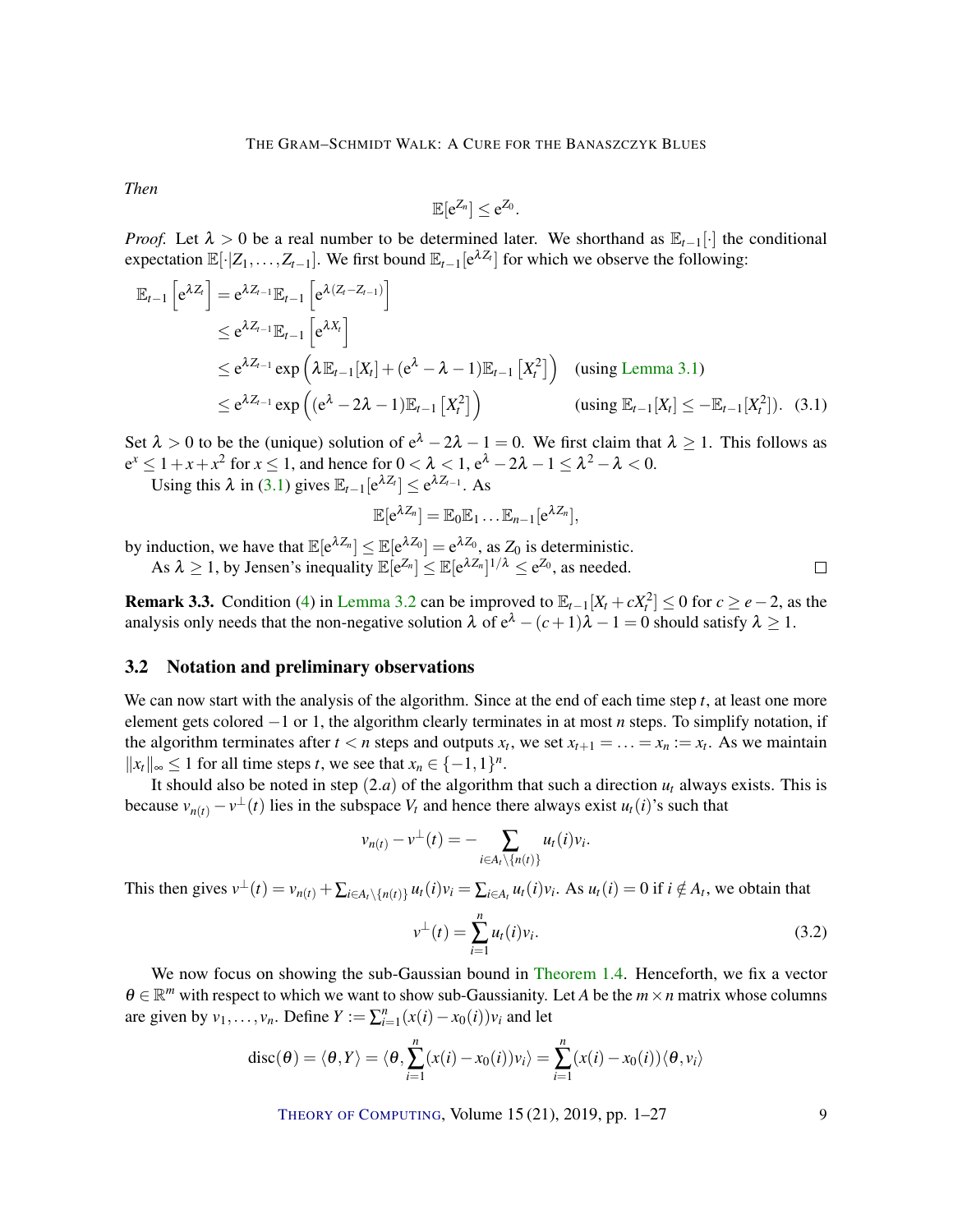*Then*

<span id="page-8-0"></span>
$$
\mathbb{E}[e^{Z_n}] \leq e^{Z_0}.
$$

*Proof.* Let  $\lambda > 0$  be a real number to be determined later. We shorthand as  $\mathbb{E}_{t-1}[\cdot]$  the conditional expectation  $\mathbb{E}[\cdot|Z_1,\ldots,Z_{t-1}]$ . We first bound  $\mathbb{E}_{t-1}[e^{\lambda Z_t}]$  for which we observe the following:

$$
\mathbb{E}_{t-1}\left[e^{\lambda Z_t}\right] = e^{\lambda Z_{t-1}}\mathbb{E}_{t-1}\left[e^{\lambda (Z_t - Z_{t-1})}\right]
$$
\n
$$
\leq e^{\lambda Z_{t-1}}\mathbb{E}_{t-1}\left[e^{\lambda X_t}\right]
$$
\n
$$
\leq e^{\lambda Z_{t-1}}\exp\left(\lambda \mathbb{E}_{t-1}[X_t] + (e^{\lambda} - \lambda - 1)\mathbb{E}_{t-1}[X_t^2]\right) \quad \text{(using Lemma 3.1)}
$$
\n
$$
\leq e^{\lambda Z_{t-1}}\exp\left((e^{\lambda} - 2\lambda - 1)\mathbb{E}_{t-1}[X_t^2]\right) \quad \text{(using } \mathbb{E}_{t-1}[X_t] \leq -\mathbb{E}_{t-1}[X_t^2]). \quad (3.1)
$$

Set  $\lambda > 0$  to be the (unique) solution of  $e^{\lambda} - 2\lambda - 1 = 0$ . We first claim that  $\lambda \ge 1$ . This follows as  $e^x \leq 1 + x + x^2$  for  $x \leq 1$ , and hence for  $0 < \lambda < 1$ ,  $e^{\lambda} - 2\lambda - 1 \leq \lambda^2 - \lambda < 0$ .

Using this  $\lambda$  in [\(3.1\)](#page-8-0) gives  $\mathbb{E}_{t-1}[e^{\lambda Z_t}] \leq e^{\lambda Z_{t-1}}$ . As

$$
\mathbb{E}[e^{\lambda Z_n}]=\mathbb{E}_0\mathbb{E}_1\ldots\mathbb{E}_{n-1}[e^{\lambda Z_n}],
$$

by induction, we have that  $\mathbb{E}[e^{\lambda Z_n}] \leq \mathbb{E}[e^{\lambda Z_0}] = e^{\lambda Z_0}$ , as  $Z_0$  is deterministic.

As  $\lambda \geq 1$ , by Jensen's inequality  $\mathbb{E}[e^{Z_n}] \leq \mathbb{E}[e^{\lambda Z_n}]^{1/\lambda} \leq e^{Z_0}$ , as needed.

**Remark 3.3.** Condition [\(4\)](#page-7-2) in [Lemma](#page-7-3) [3.2](#page-7-3) can be improved to  $\mathbb{E}_{t-1}[X_t + cX_t^2] \le 0$  for  $c \ge e-2$ , as the analysis only needs that the non-negative solution  $\lambda$  of  $e^{\lambda} - (c+1)\lambda - 1 = 0$  should satisfy  $\lambda \ge 1$ .

#### 3.2 Notation and preliminary observations

We can now start with the analysis of the algorithm. Since at the end of each time step *t*, at least one more element gets colored −1 or 1, the algorithm clearly terminates in at most *n* steps. To simplify notation, if the algorithm terminates after  $t < n$  steps and outputs  $x_t$ , we set  $x_{t+1} = \ldots = x_n := x_t$ . As we maintain  $||x_t||_{\infty}$  ≤ 1 for all time steps *t*, we see that  $x_n \in \{-1, 1\}^n$ .

It should also be noted in step  $(2.a)$  of the algorithm that such a direction  $u_t$  always exists. This is because  $v_{n(t)} - v^{\perp}(t)$  lies in the subspace  $V_t$  and hence there always exist  $u_t(i)$ 's such that

$$
v_{n(t)} - v^{\perp}(t) = - \sum_{i \in A_t \setminus \{n(t)\}} u_t(i) v_i.
$$

This then gives  $v^{\perp}(t) = v_{n(t)} + \sum_{i \in A_t \setminus \{n(t)\}} u_t(i)v_i = \sum_{i \in A_t} u_t(i)v_i$ . As  $u_t(i) = 0$  if  $i \notin A_t$ , we obtain that

<span id="page-8-1"></span>
$$
v^{\perp}(t) = \sum_{i=1}^{n} u_i(i) v_i.
$$
 (3.2)

We now focus on showing the sub-Gaussian bound in [Theorem](#page-4-1) [1.4.](#page-4-1) Henceforth, we fix a vector  $\theta \in \mathbb{R}^m$  with respect to which we want to show sub-Gaussianity. Let *A* be the  $m \times n$  matrix whose columns are given by  $v_1, \ldots, v_n$ . Define  $Y := \sum_{i=1}^n (x(i) - x_0(i))v_i$  and let

$$
disc(\theta) = \langle \theta, Y \rangle = \langle \theta, \sum_{i=1}^{n} (x(i) - x_0(i))v_i \rangle = \sum_{i=1}^{n} (x(i) - x_0(i)) \langle \theta, v_i \rangle
$$

THEORY OF C[OMPUTING](http://dx.doi.org/10.4086/toc), Volume 15 (21), 2019, pp. 1–27 9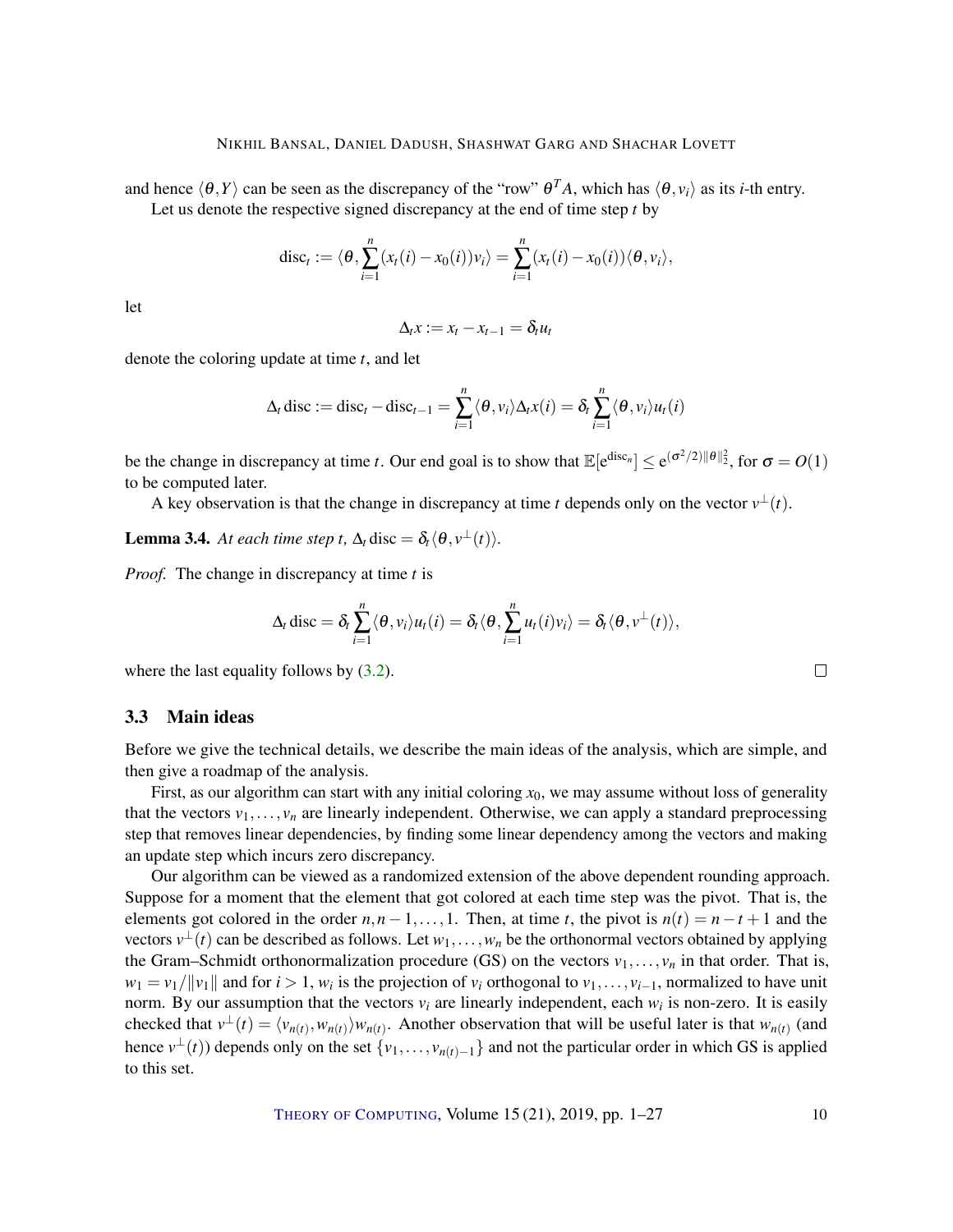#### NIKHIL BANSAL, DANIEL DADUSH, SHASHWAT GARG AND SHACHAR LOVETT

and hence  $\langle \theta, Y \rangle$  can be seen as the discrepancy of the "row"  $\theta^T A$ , which has  $\langle \theta, v_i \rangle$  as its *i*-th entry. Let us denote the respective signed discrepancy at the end of time step *t* by

$$
\mathrm{disc}_t := \langle \theta, \sum_{i=1}^n (x_i(i) - x_0(i)) v_i \rangle = \sum_{i=1}^n (x_i(i) - x_0(i)) \langle \theta, v_i \rangle,
$$

let

$$
\Delta_t x := x_t - x_{t-1} = \delta_t u_t
$$

denote the coloring update at time *t*, and let

$$
\Delta_t \operatorname{disc} := \operatorname{disc}_t - \operatorname{disc}_{t-1} = \sum_{i=1}^n \langle \theta, v_i \rangle \Delta_t x(t) = \delta_t \sum_{i=1}^n \langle \theta, v_i \rangle u_t(t)
$$

be the change in discrepancy at time *t*. Our end goal is to show that  $\mathbb{E}[e^{\text{disc}_n}] \le e^{(\sigma^2/2) \|\theta\|_2^2}$ , for  $\sigma = O(1)$ to be computed later.

A key observation is that the change in discrepancy at time *t* depends only on the vector  $v^{\perp}(t)$ .

**Lemma 3.4.** *At each time step t,*  $\Delta_t$  disc =  $\delta_t \langle \theta, v^{\perp}(t) \rangle$ .

*Proof.* The change in discrepancy at time *t* is

$$
\Delta_t \operatorname{disc} = \delta_t \sum_{i=1}^n \langle \theta, v_i \rangle u_t(i) = \delta_t \langle \theta, \sum_{i=1}^n u_t(i) v_i \rangle = \delta_t \langle \theta, v^{\perp}(t) \rangle,
$$

where the last equality follows by  $(3.2)$ .

## <span id="page-9-0"></span>3.3 Main ideas

Before we give the technical details, we describe the main ideas of the analysis, which are simple, and then give a roadmap of the analysis.

First, as our algorithm can start with any initial coloring *x*0, we may assume without loss of generality that the vectors  $v_1, \ldots, v_n$  are linearly independent. Otherwise, we can apply a standard preprocessing step that removes linear dependencies, by finding some linear dependency among the vectors and making an update step which incurs zero discrepancy.

Our algorithm can be viewed as a randomized extension of the above dependent rounding approach. Suppose for a moment that the element that got colored at each time step was the pivot. That is, the elements got colored in the order  $n, n-1, \ldots, 1$ . Then, at time *t*, the pivot is  $n(t) = n - t + 1$  and the vectors  $v^{\perp}(t)$  can be described as follows. Let  $w_1, \ldots, w_n$  be the orthonormal vectors obtained by applying the Gram–Schmidt orthonormalization procedure (GS) on the vectors  $v_1, \ldots, v_n$  in that order. That is,  $w_1 = v_1/||v_1||$  and for  $i > 1$ ,  $w_i$  is the projection of  $v_i$  orthogonal to  $v_1, \ldots, v_{i-1}$ , normalized to have unit norm. By our assumption that the vectors  $v_i$  are linearly independent, each  $w_i$  is non-zero. It is easily checked that  $v^{\perp}(t) = \langle v_{n(t)}, w_{n(t)} \rangle w_{n(t)}$ . Another observation that will be useful later is that  $w_{n(t)}$  (and hence  $v^{\perp}(t)$ ) depends only on the set  $\{v_1,\ldots,v_{n(t)-1}\}$  and not the particular order in which GS is applied to this set.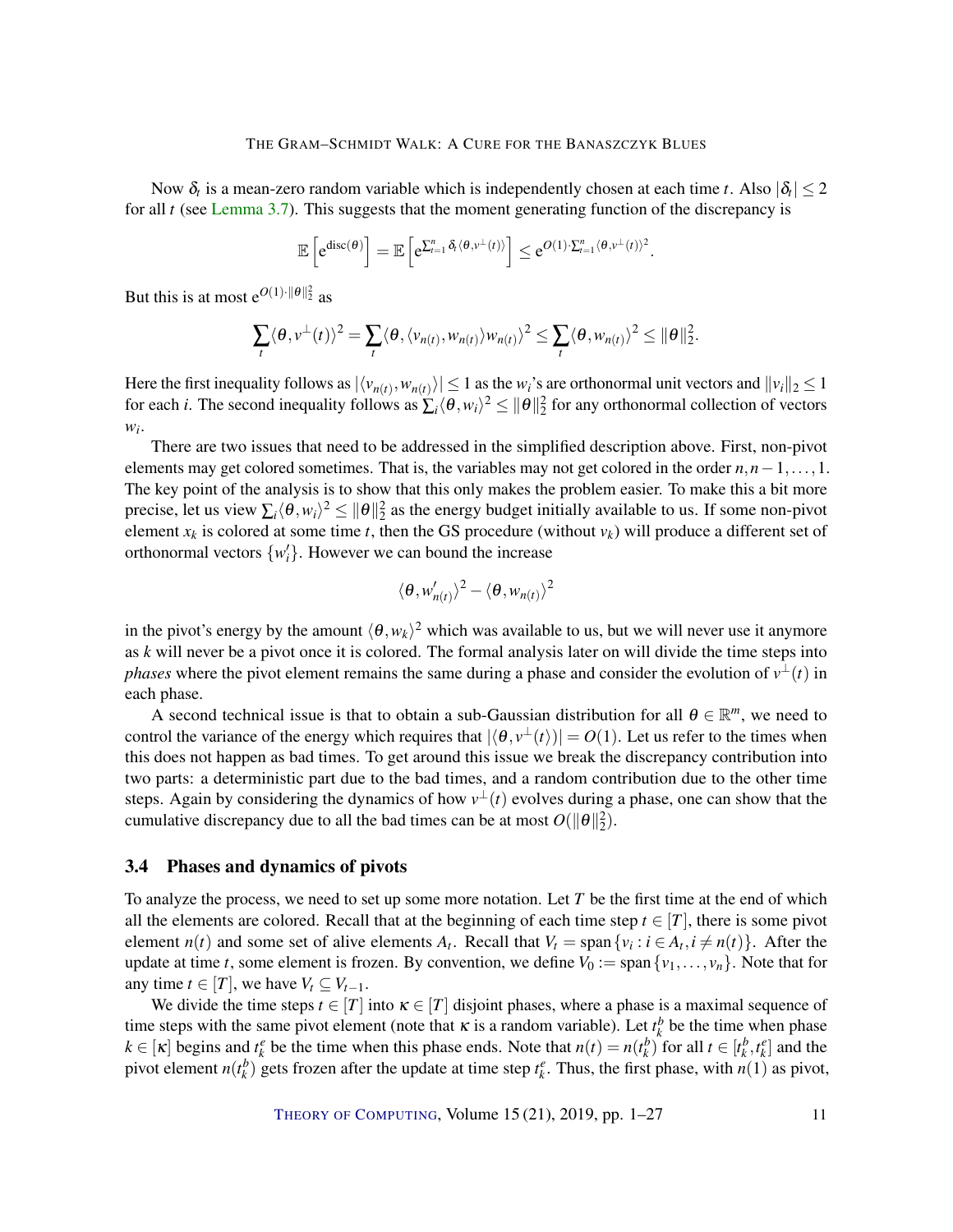Now  $\delta_t$  is a mean-zero random variable which is independently chosen at each time *t*. Also  $|\delta_t| \leq 2$ for all *t* (see [Lemma](#page-12-0) [3.7\)](#page-12-0). This suggests that the moment generating function of the discrepancy is

$$
\mathbb{E}\left[e^{\mathrm{disc}(\theta)}\right] = \mathbb{E}\left[e^{\sum_{t=1}^{n} \delta_t \langle \theta, v^{\perp}(t) \rangle}\right] \leq e^{O(1)\cdot \sum_{t=1}^{n} \langle \theta, v^{\perp}(t) \rangle^2}
$$

.

But this is at most  $e^{O(1) \cdot ||\theta||_2^2}$  as

$$
\sum_{t} \langle \theta, v^{\perp}(t) \rangle^{2} = \sum_{t} \langle \theta, \langle v_{n(t)}, w_{n(t)} \rangle w_{n(t)} \rangle^{2} \leq \sum_{t} \langle \theta, w_{n(t)} \rangle^{2} \leq ||\theta||_{2}^{2}.
$$

Here the first inequality follows as  $|\langle v_{n(t)}, w_{n(t)} \rangle| \le 1$  as the  $w_i$ 's are orthonormal unit vectors and  $||v_i||_2 \le 1$ for each *i*. The second inequality follows as  $\sum_i \langle \theta, w_i \rangle^2 \le ||\theta||_2^2$  for any orthonormal collection of vectors *wi* .

There are two issues that need to be addressed in the simplified description above. First, non-pivot elements may get colored sometimes. That is, the variables may not get colored in the order  $n, n-1, \ldots, 1$ . The key point of the analysis is to show that this only makes the problem easier. To make this a bit more precise, let us view  $\sum_i \langle \theta, w_i \rangle^2 \le ||\theta||_2^2$  as the energy budget initially available to us. If some non-pivot element  $x_k$  is colored at some time *t*, then the GS procedure (without  $v_k$ ) will produce a different set of orthonormal vectors  $\{w_i'\}$ . However we can bound the increase

$$
\langle \theta, w'_{n(t)} \rangle^2 - \langle \theta, w_{n(t)} \rangle^2
$$

in the pivot's energy by the amount  $\langle \theta, w_k \rangle^2$  which was available to us, but we will never use it anymore as *k* will never be a pivot once it is colored. The formal analysis later on will divide the time steps into *phases* where the pivot element remains the same during a phase and consider the evolution of  $v^{\perp}(t)$  in each phase.

A second technical issue is that to obtain a sub-Gaussian distribution for all  $\theta \in \mathbb{R}^m$ , we need to control the variance of the energy which requires that  $|\langle \theta, v^{\perp}(t) \rangle| = O(1)$ . Let us refer to the times when this does not happen as bad times. To get around this issue we break the discrepancy contribution into two parts: a deterministic part due to the bad times, and a random contribution due to the other time steps. Again by considering the dynamics of how  $v^{\perp}(t)$  evolves during a phase, one can show that the cumulative discrepancy due to all the bad times can be at most  $O(||\theta||_2^2)$ .

#### 3.4 Phases and dynamics of pivots

To analyze the process, we need to set up some more notation. Let *T* be the first time at the end of which all the elements are colored. Recall that at the beginning of each time step  $t \in [T]$ , there is some pivot element  $n(t)$  and some set of alive elements  $A_t$ . Recall that  $V_t = \text{span}\{v_i : i \in A_t, i \neq n(t)\}\$ . After the update at time *t*, some element is frozen. By convention, we define  $V_0 := \text{span}\{v_1, \ldots, v_n\}$ . Note that for any time  $t \in [T]$ , we have  $V_t \subseteq V_{t-1}$ .

We divide the time steps  $t \in [T]$  into  $\kappa \in [T]$  disjoint phases, where a phase is a maximal sequence of time steps with the same pivot element (note that  $\kappa$  is a random variable). Let  $t_k^b$  be the time when phase  $k \in [\kappa]$  begins and  $t_k^e$  be the time when this phase ends. Note that  $n(t) = n(t_k^b)$  for all  $t \in [t_k^b, t_k^e]$  and the pivot element  $n(t_k^b)$  gets frozen after the update at time step  $t_k^e$ . Thus, the first phase, with  $n(1)$  as pivot,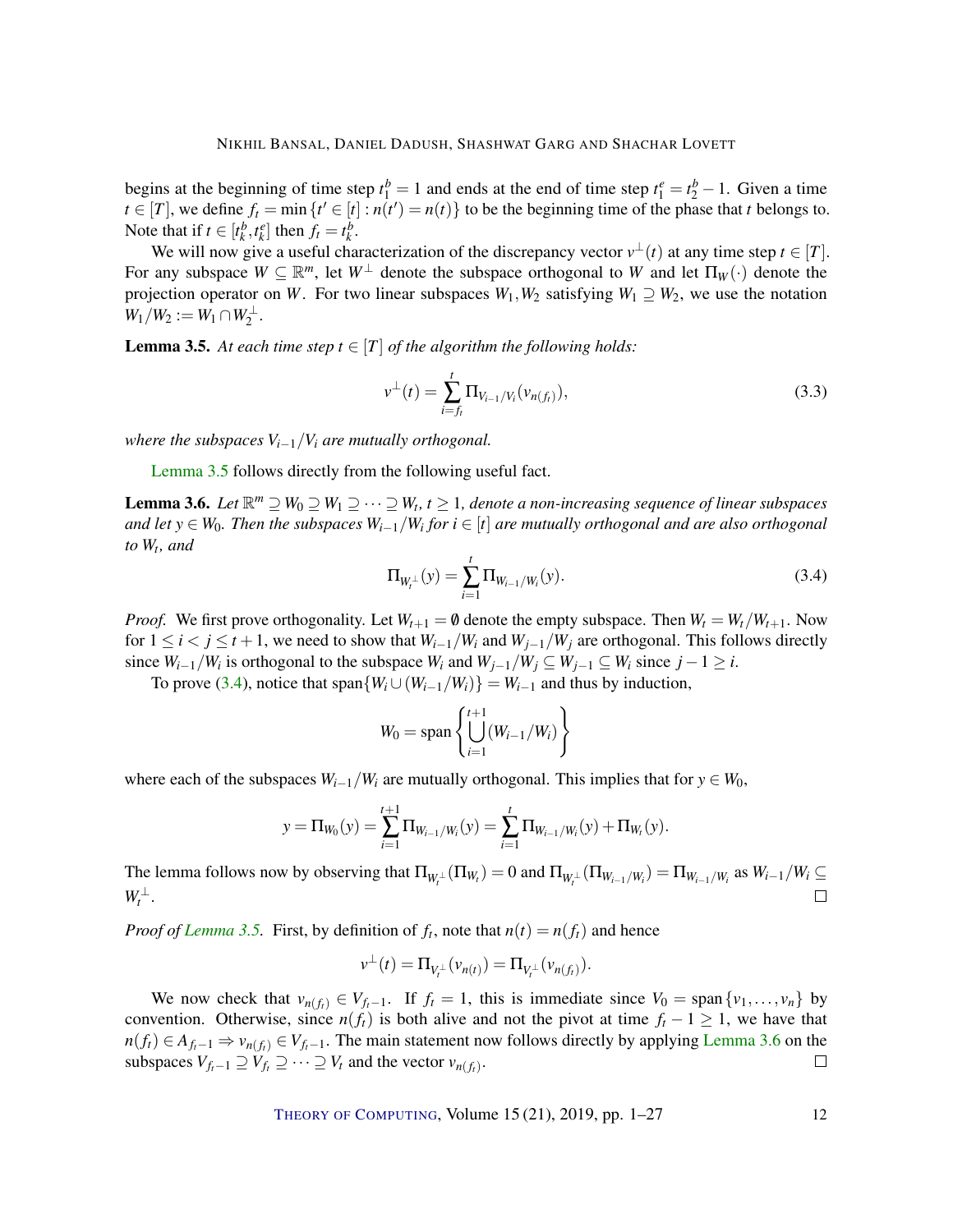begins at the beginning of time step  $t_1^b = 1$  and ends at the end of time step  $t_1^e = t_2^b - 1$ . Given a time  $t \in [T]$ , we define  $f_t = \min \{ t' \in [t] : n(t') = n(t) \}$  to be the beginning time of the phase that *t* belongs to. Note that if  $t \in [t_k^b, t_k^e]$  then  $f_t = t_k^b$ .

We will now give a useful characterization of the discrepancy vector  $v^{\perp}(t)$  at any time step  $t \in [T]$ . For any subspace  $W \subseteq \mathbb{R}^m$ , let  $W^{\perp}$  denote the subspace orthogonal to W and let  $\Pi_W(\cdot)$  denote the projection operator on *W*. For two linear subspaces  $W_1, W_2$  satisfying  $W_1 \supseteq W_2$ , we use the notation  $W_1/W_2 := W_1 \cap W_2^{\perp}.$ 

<span id="page-11-0"></span>**Lemma 3.5.** At each time step  $t \in [T]$  of the algorithm the following holds:

$$
v^{\perp}(t) = \sum_{i=f_t}^{t} \Pi_{V_{i-1}/V_i}(v_{n(f_t)}),
$$
\n(3.3)

*where the subspaces*  $V_{i-1}/V_i$  *are mutually orthogonal.* 

[Lemma](#page-11-0) [3.5](#page-11-0) follows directly from the following useful fact.

<span id="page-11-2"></span>**Lemma 3.6.** *Let*  $\mathbb{R}^m$  ⊇  $W_0$  ⊇  $W_1$  ⊇  $\cdots$  ⊇  $W_t$ ,  $t \geq 1$ , denote a non-increasing sequence of linear subspaces *and let y* ∈ *W*0*. Then the subspaces Wi*−1/*W<sup>i</sup> for i* ∈ [*t*] *are mutually orthogonal and are also orthogonal to W<sup>t</sup> , and*

<span id="page-11-1"></span>
$$
\Pi_{W_t^{\perp}}(y) = \sum_{i=1}^t \Pi_{W_{i-1}/W_i}(y).
$$
\n(3.4)

*Proof.* We first prove orthogonality. Let  $W_{t+1} = \emptyset$  denote the empty subspace. Then  $W_t = W_t / W_{t+1}$ . Now for  $1 \le i < j \le t+1$ , we need to show that  $W_{i-1}/W_i$  and  $W_{j-1}/W_j$  are orthogonal. This follows directly since  $W_{i-1}/W_i$  is orthogonal to the subspace  $W_i$  and  $W_{j-1}/W_j \subseteq W_{j-1} \subseteq W_i$  since  $j-1 \geq i$ .

To prove [\(3.4\)](#page-11-1), notice that span $\{W_i \cup (W_{i-1}/W_i)\} = W_{i-1}$  and thus by induction,

$$
W_0 = \text{span}\left\{\bigcup_{i=1}^{t+1} (W_{i-1}/W_i)\right\}
$$

where each of the subspaces  $W_{i-1}/W_i$  are mutually orthogonal. This implies that for  $y \in W_0$ ,

$$
y = \Pi_{W_0}(y) = \sum_{i=1}^{t+1} \Pi_{W_{i-1}/W_i}(y) = \sum_{i=1}^{t} \Pi_{W_{i-1}/W_i}(y) + \Pi_{W_t}(y).
$$

The lemma follows now by observing that  $\Pi_{W_t^\perp}(\Pi_{W_t}) = 0$  and  $\Pi_{W_t^\perp}(\Pi_{W_{t-1}/W_t}) = \Pi_{W_{t-1}/W_t}$  as  $W_{t-1}/W_t \subseteq$  $W_t^{\perp}$ .  $\Box$ 

*Proof of [Lemma](#page-11-0)* [3.5.](#page-11-0) First, by definition of  $f_t$ , note that  $n(t) = n(f_t)$  and hence

$$
v^{\perp}(t) = \Pi_{V_t^{\perp}}(v_{n(t)}) = \Pi_{V_t^{\perp}}(v_{n(f_t)}).
$$

We now check that  $v_{n(f_t)} \in V_{f_t-1}$ . If  $f_t = 1$ , this is immediate since  $V_0 = \text{span}\{v_1, \ldots, v_n\}$  by convention. Otherwise, since  $n(f_t)$  is both alive and not the pivot at time  $f_t - 1 \ge 1$ , we have that  $n(f_t) \in A_{f_t-1} \Rightarrow v_{n(f_t)} \in V_{f_t-1}$ . The main statement now follows directly by applying [Lemma](#page-11-2) [3.6](#page-11-2) on the subspaces  $V_{f_t-1} \supseteq V_{f_t} \supseteq \cdots \supseteq V_t$  and the vector  $v_{n(f_t)}$ .  $\Box$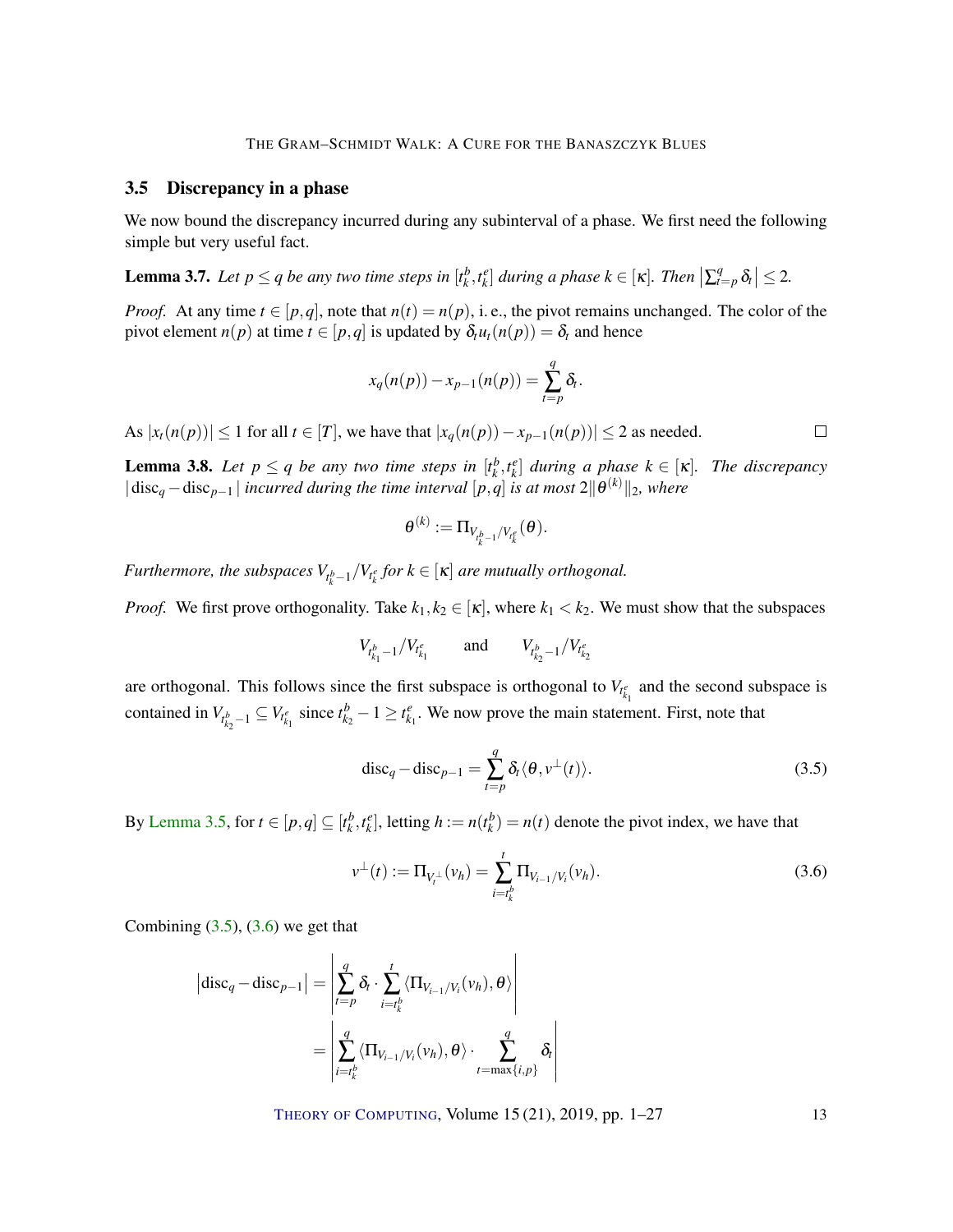#### 3.5 Discrepancy in a phase

We now bound the discrepancy incurred during any subinterval of a phase. We first need the following simple but very useful fact.

<span id="page-12-0"></span>**Lemma 3.7.** Let  $p \le q$  be any two time steps in  $[t_k^b, t_k^e]$  during a phase  $k \in [\kappa]$ . Then  $\left| \sum_{t=p}^q \delta_t \right| \le 2$ .

*Proof.* At any time  $t \in [p,q]$ , note that  $n(t) = n(p)$ , i.e., the pivot remains unchanged. The color of the pivot element  $n(p)$  at time  $t \in [p,q]$  is updated by  $\delta_t u_t(n(p)) = \delta_t$  and hence

$$
x_q(n(p)) - x_{p-1}(n(p)) = \sum_{t=p}^q \delta_t.
$$

As  $|x_t(n(p))| \leq 1$  for all  $t \in [T]$ , we have that  $|x_q(n(p)) - x_{p-1}(n(p))| \leq 2$  as needed.

<span id="page-12-3"></span>**Lemma 3.8.** Let  $p \leq q$  be any two time steps in  $[t_k^b, t_k^e]$  during a phase  $k \in [\kappa]$ . The discrepancy  $|\text{disc}_q - \text{disc}_{p-1}|$  *incurred during the time interval*  $[p,q]$  *is at most* 2 $\|\theta^{(k)}\|_2$ *, where* 

$$
\boldsymbol{\theta}^{(k)} := \Pi_{V_{t_k^b-1}/V_{t_k^e}}(\boldsymbol{\theta}).
$$

*Furthermore, the subspaces*  $V_{t_k^b-1}/V_{t_k^e}$  *for*  $k \in [\kappa]$  *are mutually orthogonal.* 

*Proof.* We first prove orthogonality. Take  $k_1, k_2 \in [\kappa]$ , where  $k_1 < k_2$ . We must show that the subspaces

$$
V_{t_{k_1}^b-1}/V_{t_{k_1}^e} \qquad \text{and} \qquad V_{t_{k_2}^b-1}/V_{t_{k_2}^e}
$$

are orthogonal. This follows since the first subspace is orthogonal to  $V_{t_{k_1}^e}$  and the second subspace is contained in  $V_{t_{k_2}^b-1} \subseteq V_{t_{k_1}^e}$  since  $t_{k_2}^b-1 \geq t_{k_1}^e$ . We now prove the main statement. First, note that

<span id="page-12-1"></span>
$$
\text{disc}_q - \text{disc}_{p-1} = \sum_{t=p}^q \delta_t \langle \theta, v^{\perp}(t) \rangle.
$$
 (3.5)

By [Lemma](#page-11-0) [3.5,](#page-11-0) for  $t \in [p,q] \subseteq [t_k^b, t_k^e]$ , letting  $h := n(t_k^b) = n(t)$  denote the pivot index, we have that

<span id="page-12-2"></span>
$$
\nu^{\perp}(t) := \Pi_{V_i^{\perp}}(\nu_h) = \sum_{i=t_k^b}^t \Pi_{V_{i-1}/V_i}(\nu_h).
$$
\n(3.6)

Combining  $(3.5)$ ,  $(3.6)$  we get that

$$
|\mathrm{disc}_q - \mathrm{disc}_{p-1}| = \left| \sum_{t=p}^q \delta_t \cdot \sum_{i=t_k^b}^t \langle \Pi_{V_{i-1}/V_i}(v_h), \theta \rangle \right|
$$
  
= 
$$
\left| \sum_{i=t_k^b}^q \langle \Pi_{V_{i-1}/V_i}(v_h), \theta \rangle \cdot \sum_{t=\max\{i,p\}}^q \delta_t \right|
$$

THEORY OF C[OMPUTING](http://dx.doi.org/10.4086/toc), Volume 15 (21), 2019, pp. 1–27 13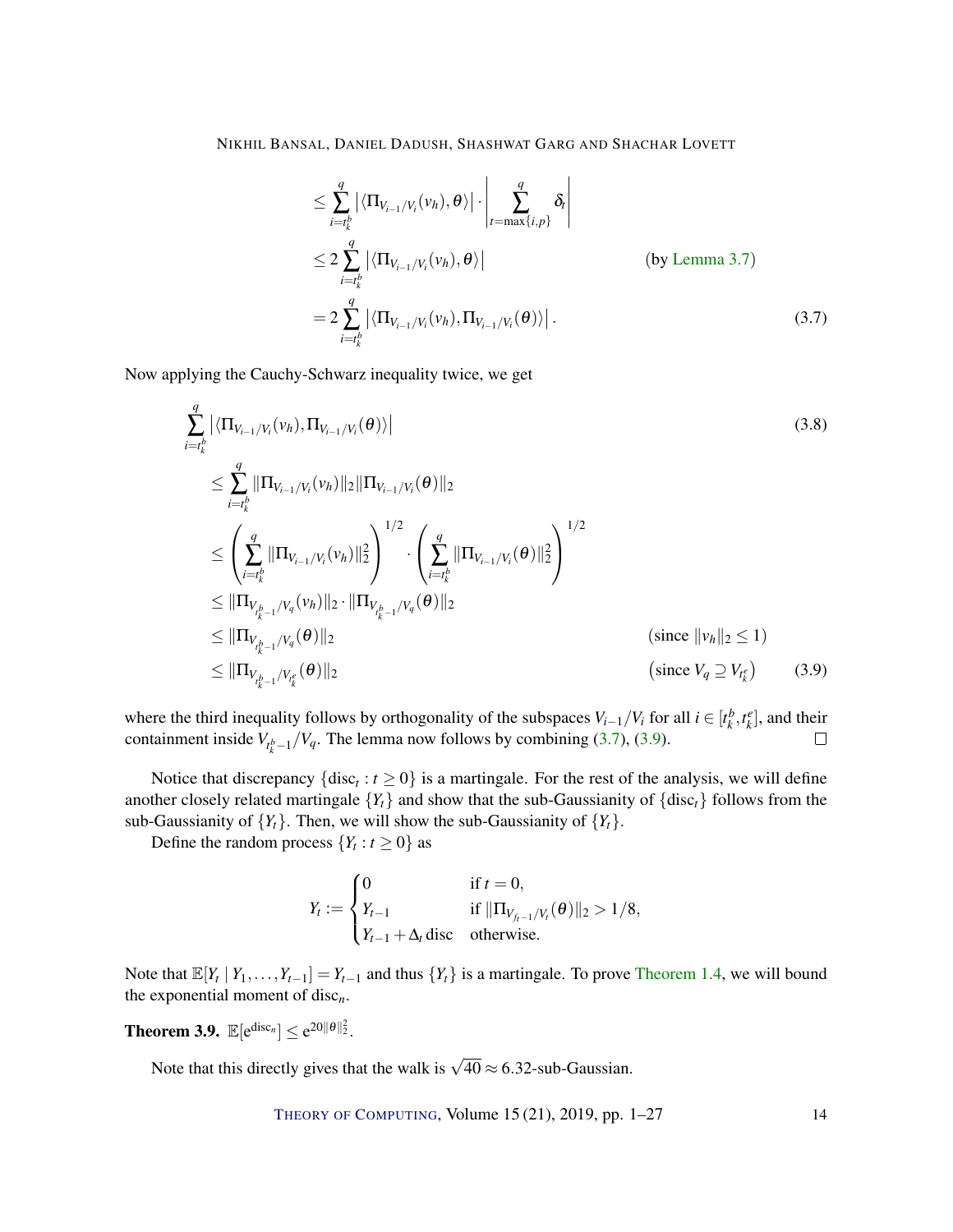NIKHIL BANSAL, DANIEL DADUSH, SHASHWAT GARG AND SHACHAR LOVETT

<span id="page-13-0"></span>
$$
\leq \sum_{i=t_k^b}^q \left| \langle \Pi_{V_{i-1}/V_i}(v_h), \theta \rangle \right| \cdot \left| \sum_{t=\max\{i,p\}}^q \delta_t \right|
$$
  
\n
$$
\leq 2 \sum_{i=t_k^b}^q \left| \langle \Pi_{V_{i-1}/V_i}(v_h), \theta \rangle \right| \qquad \text{(by Lemma 3.7)}
$$
  
\n
$$
= 2 \sum_{i=t_k^b}^q \left| \langle \Pi_{V_{i-1}/V_i}(v_h), \Pi_{V_{i-1}/V_i}(\theta) \rangle \right|.
$$
 (3.7)

Now applying the Cauchy-Schwarz inequality twice, we get

$$
\sum_{i=t_k^b}^q |\langle \Pi_{V_{i-1}/V_i}(v_h), \Pi_{V_{i-1}/V_i}(\theta) \rangle|
$$
\n
$$
\leq \sum_{i=t_k^b}^q \|\Pi_{V_{i-1}/V_i}(v_h)\|_2 \|\Pi_{V_{i-1}/V_i}(\theta)\|_2
$$
\n
$$
\leq \left(\sum_{i=t_k^b}^q \|\Pi_{V_{i-1}/V_i}(v_h)\|_2^2\right)^{1/2} \cdot \left(\sum_{i=t_k^b}^q \|\Pi_{V_{i-1}/V_i}(\theta)\|_2^2\right)^{1/2}
$$
\n
$$
\leq \|\Pi_{V_{t_k^b-1}/V_q}(v_h)\|_2 \cdot \|\Pi_{V_{t_{k-1}^b}/V_q}(\theta)\|_2
$$
\n
$$
\leq \|\Pi_{V_{t_k^b-1}/V_q}(\theta)\|_2
$$
\n
$$
\leq \|\Pi_{V_{t_k^b-1}/V_q}(\theta)\|_2
$$
\n
$$
\leq \|\Pi_{V_{t_k^b-1}/V_i}(\theta)\|_2
$$
\n
$$
\text{(since } |v_h||_2 \leq 1)
$$
\n
$$
\leq \eta_{V_{t_k^b-1}/V_{t_k}(\theta)}(3.9)
$$

where the third inequality follows by orthogonality of the subspaces  $V_{i-1}/V_i$  for all  $i \in [t^b_k, t^e_k]$ , and their containment inside  $V_{t_k^b-1}/V_q$ . The lemma now follows by combining [\(3.7\)](#page-13-0), [\(3.9\)](#page-13-1).  $\Box$ 

Notice that discrepancy  $\{\text{disc}_t : t \geq 0\}$  is a martingale. For the rest of the analysis, we will define another closely related martingale  ${Y_t}$  and show that the sub-Gaussianity of  ${\text{disc}_t}$  follows from the sub-Gaussianity of  ${Y_t}$ . Then, we will show the sub-Gaussianity of  ${Y_t}$ .

Define the random process  $\{Y_t : t \geq 0\}$  as

<span id="page-13-1"></span>
$$
Y_t := \begin{cases} 0 & \text{if } t = 0, \\ Y_{t-1} & \text{if } ||\Pi_{V_{f_t-1}/V_t}(\theta)||_2 > 1/8, \\ Y_{t-1} + \Delta_t \text{disc} & \text{otherwise.} \end{cases}
$$

Note that  $\mathbb{E}[Y_t | Y_1, \ldots, Y_{t-1}] = Y_{t-1}$  and thus  $\{Y_t\}$  is a martingale. To prove [Theorem](#page-4-1) [1.4,](#page-4-1) we will bound the exponential moment of disc*n*.

<span id="page-13-2"></span>**Theorem 3.9.**  $\mathbb{E}[\mathrm{e}^{\mathrm{disc}_n}] \leq \mathrm{e}^{20\|\theta\|_2^2}$ .

Note that this directly gives that the walk is  $\sqrt{40} \approx 6.32$ -sub-Gaussian.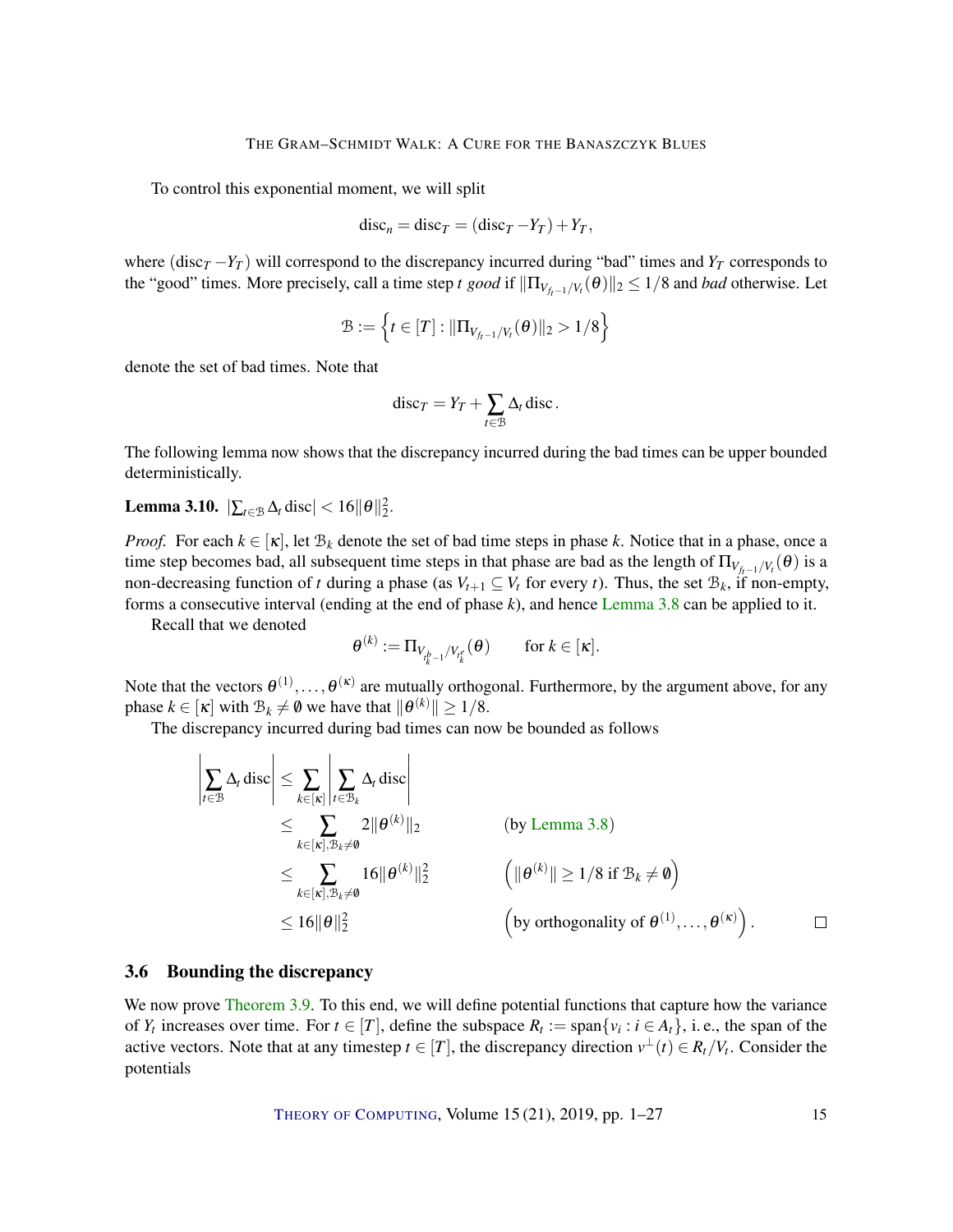To control this exponential moment, we will split

$$
discn = discT = (discT - YT) + YT,
$$

where (disc<sub>*T*</sub> −*Y<sub>T</sub>*) will correspond to the discrepancy incurred during "bad" times and *Y<sub>T</sub>* corresponds to the "good" times. More precisely, call a time step *t good* if  $\|\Pi_{V_{f_t-1}/V_t}(\theta)\|_2 \le 1/8$  and *bad* otherwise. Let

$$
\mathcal{B} := \left\{ t \in [T] : ||\Pi_{V_{f_t-1}/V_t}(\theta)||_2 > 1/8 \right\}
$$

denote the set of bad times. Note that

$$
\mathrm{disc}_T=Y_T+\sum_{t\in\mathcal{B}}\Delta_t\,\mathrm{disc}.
$$

The following lemma now shows that the discrepancy incurred during the bad times can be upper bounded deterministically.

<span id="page-14-0"></span>Lemma 3.10.  $|\sum_{t \in \mathcal{B}} \Delta_t \text{ disc}| < 16 ||\theta||_2^2$ .

*Proof.* For each  $k \in [\kappa]$ , let  $\mathcal{B}_k$  denote the set of bad time steps in phase k. Notice that in a phase, once a time step becomes bad, all subsequent time steps in that phase are bad as the length of  $\Pi_{V_{f_t-1}/V_t}(\theta)$  is a non-decreasing function of *t* during a phase (as  $V_{t+1} \subseteq V_t$  for every *t*). Thus, the set  $\mathcal{B}_k$ , if non-empty, forms a consecutive interval (ending at the end of phase *k*), and hence [Lemma](#page-12-3) [3.8](#page-12-3) can be applied to it.

Recall that we denoted

$$
\theta^{(k)} := \Pi_{V_{t^b_k-1}/V_{t^e_k}}(\theta) \quad \text{for } k \in [\kappa].
$$

Note that the vectors  $\theta^{(1)},\ldots,\theta^{(\kappa)}$  are mutually orthogonal. Furthermore, by the argument above, for any phase  $k \in [\kappa]$  with  $\mathcal{B}_k \neq \emptyset$  we have that  $\|\theta^{(k)}\| \geq 1/8$ .

The discrepancy incurred during bad times can now be bounded as follows

$$
\left|\sum_{t\in\mathcal{B}}\Delta_t \operatorname{disc}\right| \leq \sum_{k\in[\kappa],\mathcal{B}_k\neq\emptyset} \sum_{t\in\mathcal{B}_k} \Delta_t \operatorname{disc}\right|
$$
\n
$$
\leq \sum_{k\in[\kappa],\mathcal{B}_k\neq\emptyset} 2\|\theta^{(k)}\|_2 \qquad \text{(by Lemma 3.8)}
$$
\n
$$
\leq \sum_{k\in[\kappa],\mathcal{B}_k\neq\emptyset} 16\|\theta^{(k)}\|_2^2 \qquad \left(\|\theta^{(k)}\| \geq 1/8 \text{ if } \mathcal{B}_k\neq\emptyset\right)
$$
\n
$$
\leq 16\|\theta\|_2^2 \qquad \left(\text{by orthogonality of } \theta^{(1)},\ldots,\theta^{(\kappa)}\right).
$$

#### 3.6 Bounding the discrepancy

We now prove [Theorem](#page-13-2) [3.9.](#page-13-2) To this end, we will define potential functions that capture how the variance of  $Y_t$  increases over time. For  $t \in [T]$ , define the subspace  $R_t := \text{span}\{v_i : i \in A_t\}$ , i.e., the span of the active vectors. Note that at any timestep  $t \in [T]$ , the discrepancy direction  $v^{\perp}(t) \in R_t/V_t$ . Consider the potentials

THEORY OF C[OMPUTING](http://dx.doi.org/10.4086/toc), Volume 15 (21), 2019, pp. 1–27 15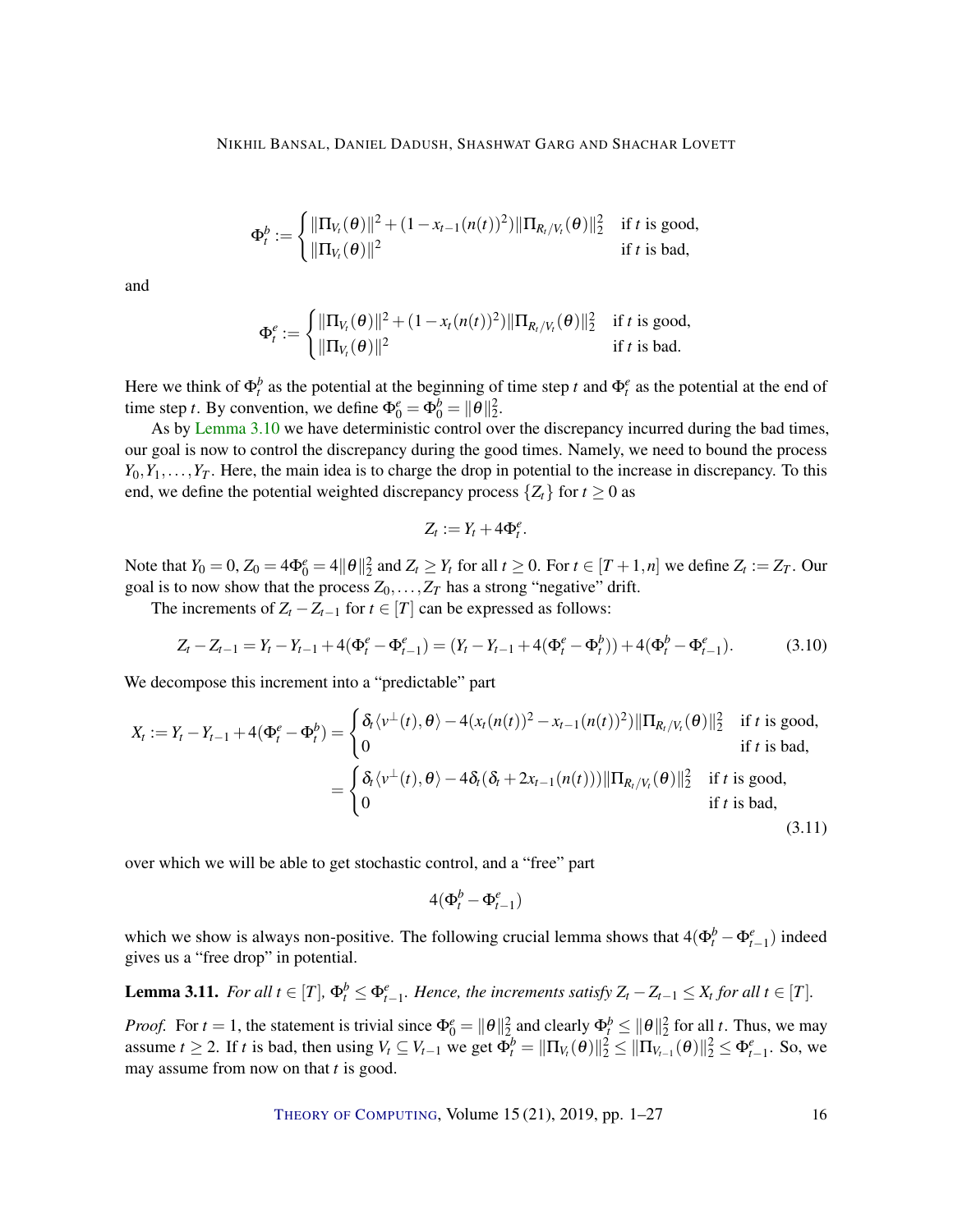$$
\Phi_t^b := \begin{cases} ||\Pi_{V_t}(\theta)||^2 + (1 - x_{t-1}(n(t))^2) ||\Pi_{R_t/V_t}(\theta)||_2^2 & \text{if } t \text{ is good,} \\ ||\Pi_{V_t}(\theta)||^2 & \text{if } t \text{ is bad,} \end{cases}
$$

and

$$
\Phi_t^e := \begin{cases} \|\Pi_{V_t}(\theta)\|^2 + (1 - x_t(n(t))^2) \|\Pi_{R_t/V_t}(\theta)\|_2^2 & \text{if } t \text{ is good,} \\ \|\Pi_{V_t}(\theta)\|^2 & \text{if } t \text{ is bad.} \end{cases}
$$

Here we think of  $\Phi_t^b$  as the potential at the beginning of time step *t* and  $\Phi_t^e$  as the potential at the end of time step *t*. By convention, we define  $\Phi_0^e = \Phi_0^b = ||\theta||_2^2$ .

As by [Lemma](#page-14-0) [3.10](#page-14-0) we have deterministic control over the discrepancy incurred during the bad times, our goal is now to control the discrepancy during the good times. Namely, we need to bound the process  $Y_0, Y_1, \ldots, Y_T$ . Here, the main idea is to charge the drop in potential to the increase in discrepancy. To this end, we define the potential weighted discrepancy process  $\{Z_t\}$  for  $t \geq 0$  as

$$
Z_t := Y_t + 4\Phi_t^e
$$

Note that  $Y_0 = 0$ ,  $Z_0 = 4\Phi_0^e = 4||\theta||_2^2$  and  $Z_t \ge Y_t$  for all  $t \ge 0$ . For  $t \in [T + 1, n]$  we define  $Z_t := Z_T$ . Our goal is to now show that the process  $Z_0$ ,..., $Z_T$  has a strong "negative" drift.

The increments of  $Z_t - Z_{t-1}$  for  $t \in [T]$  can be expressed as follows:

$$
Z_t - Z_{t-1} = Y_t - Y_{t-1} + 4(\Phi_t^e - \Phi_{t-1}^e) = (Y_t - Y_{t-1} + 4(\Phi_t^e - \Phi_t^b)) + 4(\Phi_t^b - \Phi_{t-1}^e).
$$
(3.10)

.

We decompose this increment into a "predictable" part

$$
X_t := Y_t - Y_{t-1} + 4(\Phi_t^e - \Phi_t^b) = \begin{cases} \delta_t \langle v^{\perp}(t), \theta \rangle - 4(x_t(n(t))^2 - x_{t-1}(n(t))^2) ||\Pi_{R_t/V_t}(\theta)||_2^2 & \text{if } t \text{ is good,} \\ 0 & \text{if } t \text{ is bad,} \end{cases}
$$
  
= 
$$
\begin{cases} \delta_t \langle v^{\perp}(t), \theta \rangle - 4\delta_t(\delta_t + 2x_{t-1}(n(t))) ||\Pi_{R_t/V_t}(\theta)||_2^2 & \text{if } t \text{ is good,} \\ 0 & \text{if } t \text{ is bad,} \end{cases}
$$
(3.11)

over which we will be able to get stochastic control, and a "free" part

 $4(\Phi_t^b - \Phi_{t-1}^e)$ 

which we show is always non-positive. The following crucial lemma shows that  $4(\Phi_t^b - \Phi_{t-1}^e)$  indeed gives us a "free drop" in potential.

<span id="page-15-0"></span>**Lemma 3.11.** For all  $t \in [T]$ ,  $\Phi_t^b \leq \Phi_{t-1}^e$ . Hence, the increments satisfy  $Z_t - Z_{t-1} \leq X_t$  for all  $t \in [T]$ .

*Proof.* For  $t = 1$ , the statement is trivial since  $\Phi_0^e = ||\theta||_2^2$  and clearly  $\Phi_t^b \le ||\theta||_2^2$  for all *t*. Thus, we may assume  $t \ge 2$ . If *t* is bad, then using  $V_t \subseteq V_{t-1}$  we get  $\Phi_t^b = ||\Pi_{V_t}(\theta)||_2^2 \le ||\Pi_{V_{t-1}}(\theta)||_2^2 \le \Phi_{t-1}^e$ . So, we may assume from now on that *t* is good.

THEORY OF C[OMPUTING](http://dx.doi.org/10.4086/toc), Volume 15 (21), 2019, pp. 1–27 16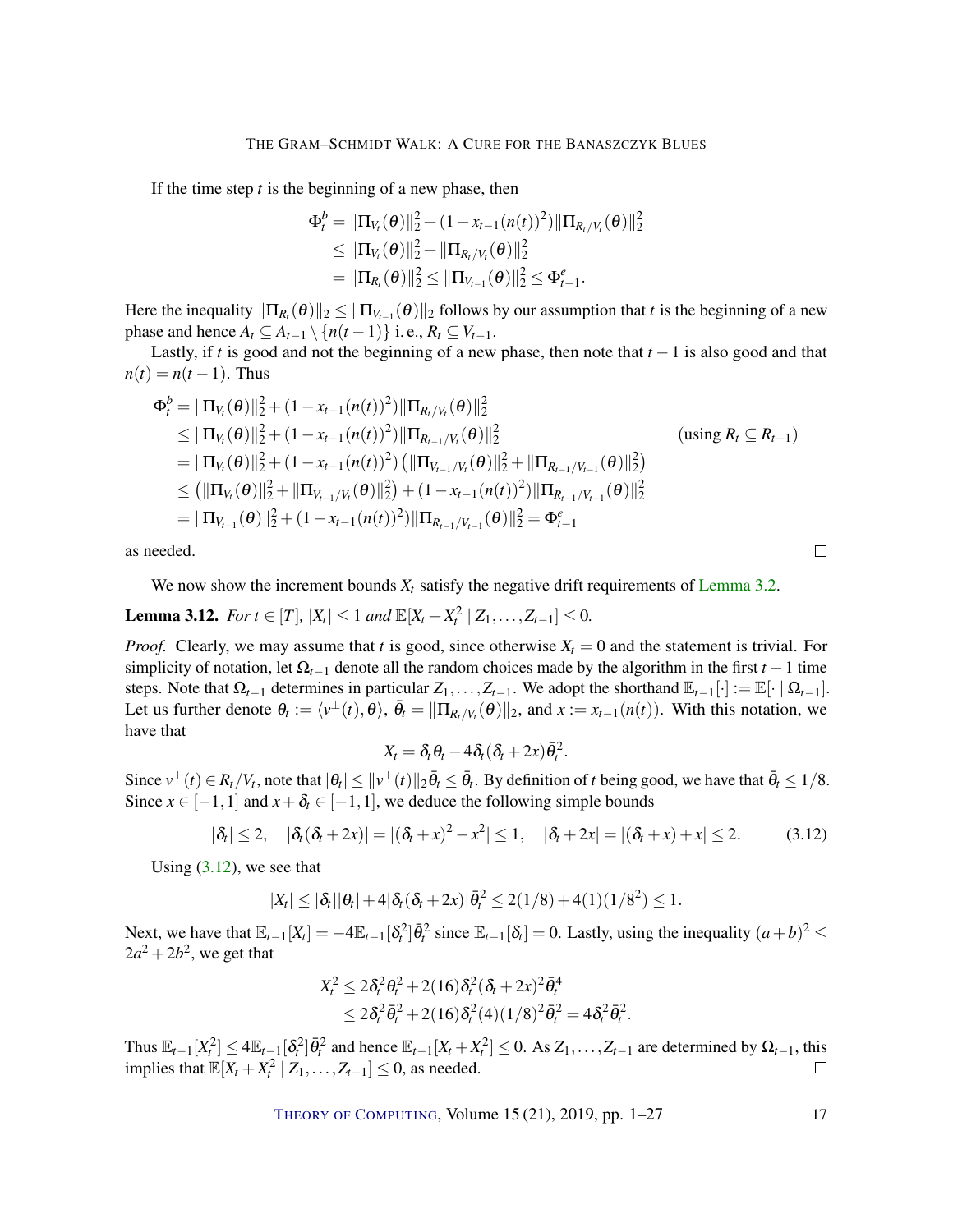If the time step *t* is the beginning of a new phase, then

$$
\Phi_t^b = \|\Pi_{V_t}(\theta)\|_2^2 + (1 - x_{t-1}(n(t))^2) \|\Pi_{R_t/V_t}(\theta)\|_2^2
$$
  
\n
$$
\leq \|\Pi_{V_t}(\theta)\|_2^2 + \|\Pi_{R_t/V_t}(\theta)\|_2^2
$$
  
\n
$$
= \|\Pi_{R_t}(\theta)\|_2^2 \leq \|\Pi_{V_{t-1}}(\theta)\|_2^2 \leq \Phi_{t-1}^e.
$$

Here the inequality  $\|\Pi_{R_t}(\theta)\|_2 \le \|\Pi_{V_{t-1}}(\theta)\|_2$  follows by our assumption that *t* is the beginning of a new phase and hence  $A_t \subseteq A_{t-1} \setminus \{n(t-1)\}\$ i.e.,  $R_t \subseteq V_{t-1}$ .

Lastly, if *t* is good and not the beginning of a new phase, then note that *t* −1 is also good and that  $n(t) = n(t-1)$ . Thus

$$
\Phi_t^b = \|\Pi_{V_t}(\theta)\|_2^2 + (1 - x_{t-1}(n(t))^2) \|\Pi_{R_t/V_t}(\theta)\|_2^2
$$
\n
$$
\leq \|\Pi_{V_t}(\theta)\|_2^2 + (1 - x_{t-1}(n(t))^2) \|\Pi_{R_{t-1}/V_t}(\theta)\|_2^2
$$
\n
$$
= \|\Pi_{V_t}(\theta)\|_2^2 + (1 - x_{t-1}(n(t))^2) \left(\|\Pi_{V_{t-1}/V_t}(\theta)\|_2^2 + \|\Pi_{R_{t-1}/V_{t-1}}(\theta)\|_2^2\right)
$$
\n
$$
\leq (\|\Pi_{V_t}(\theta)\|_2^2 + \|\Pi_{V_{t-1}/V_t}(\theta)\|_2^2) + (1 - x_{t-1}(n(t))^2) \|\Pi_{R_{t-1}/V_{t-1}}(\theta)\|_2^2
$$
\n
$$
= \|\Pi_{V_{t-1}}(\theta)\|_2^2 + (1 - x_{t-1}(n(t))^2) \|\Pi_{R_{t-1}/V_{t-1}}(\theta)\|_2^2 = \Phi_{t-1}^e
$$
\n(12.11)

as needed.

We now show the increment bounds  $X_t$  satisfy the negative drift requirements of [Lemma](#page-7-3) [3.2.](#page-7-3)

<span id="page-16-1"></span>**Lemma 3.12.** *For*  $t \in [T]$ ,  $|X_t| \leq 1$  *and*  $\mathbb{E}[X_t + X_t^2 | Z_1, ..., Z_{t-1}] \leq 0$ .

*Proof.* Clearly, we may assume that *t* is good, since otherwise  $X_t = 0$  and the statement is trivial. For simplicity of notation, let  $\Omega$ <sub>*t*−1</sub> denote all the random choices made by the algorithm in the first *t* − 1 time steps. Note that  $\Omega_{t-1}$  determines in particular  $Z_1, \ldots, Z_{t-1}$ . We adopt the shorthand  $\mathbb{E}_{t-1}[\cdot] := \mathbb{E}[\cdot | \Omega_{t-1}]$ . Let us further denote  $\theta_t := \langle v^\perp(t), \theta \rangle$ ,  $\bar{\theta}_t = \|\Pi_{R_t/V_t}(\theta)\|_2$ , and  $x := x_{t-1}(n(t))$ . With this notation, we have that

$$
X_t = \delta_t \theta_t - 4 \delta_t (\delta_t + 2x) \bar{\theta}_t^2.
$$

Since  $v^{\perp}(t) \in R_t/V_t$ , note that  $|\theta_t| \le ||v^{\perp}(t)||_2 \overline{\theta}_t \le \overline{\theta}_t$ . By definition of *t* being good, we have that  $\overline{\theta}_t \le 1/8$ . Since  $x \in [-1,1]$  and  $x + \delta_t \in [-1,1]$ , we deduce the following simple bounds

<span id="page-16-0"></span>
$$
|\delta_t| \le 2, \quad |\delta_t(\delta_t + 2x)| = |(\delta_t + x)^2 - x^2| \le 1, \quad |\delta_t + 2x| = |(\delta_t + x) + x| \le 2. \tag{3.12}
$$

 $\Box$ 

Using  $(3.12)$ , we see that

$$
|X_t| \leq |\delta_t| |\theta_t| + 4 |\delta_t(\delta_t + 2x)| \bar{\theta}_t^2 \leq 2(1/8) + 4(1)(1/8^2) \leq 1.
$$

Next, we have that  $\mathbb{E}_{t-1}[X_t] = -4\mathbb{E}_{t-1}[\delta_t^2]\overline{\theta}_t^2$  since  $\mathbb{E}_{t-1}[\delta_t] = 0$ . Lastly, using the inequality  $(a+b)^2 \le$  $2a^2 + 2b^2$ , we get that

$$
X_t^2 \le 2\delta_t^2 \theta_t^2 + 2(16)\delta_t^2 (\delta_t + 2x)^2 \bar{\theta}_t^4
$$
  
 
$$
\le 2\delta_t^2 \bar{\theta}_t^2 + 2(16)\delta_t^2 (4)(1/8)^2 \bar{\theta}_t^2 = 4\delta_t^2 \bar{\theta}_t^2.
$$

Thus  $\mathbb{E}_{t-1}[X_t^2] \le 4\mathbb{E}_{t-1}[\delta_t^2]\bar{\theta}_t^2$  and hence  $\mathbb{E}_{t-1}[X_t + X_t^2] \le 0$ . As  $Z_1, \ldots, Z_{t-1}$  are determined by  $\Omega_{t-1}$ , this implies that  $\mathbb{E}[X_t + X_t^2 \mid Z_1, \ldots, Z_{t-1}] \leq 0$ , as needed.  $\Box$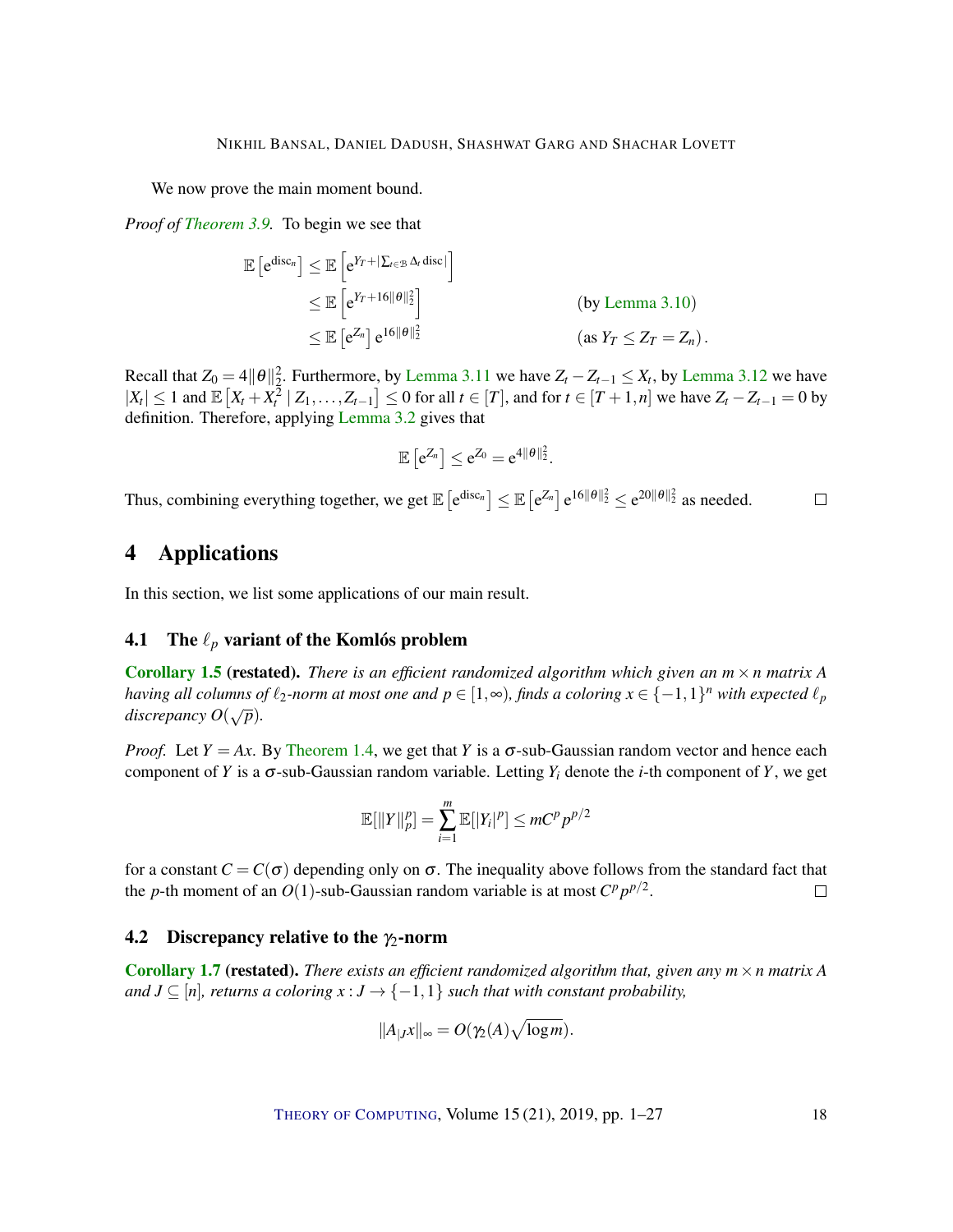We now prove the main moment bound.

*Proof of [Theorem](#page-13-2) [3.9.](#page-13-2)* To begin we see that

$$
\mathbb{E}\left[e^{\mathrm{disc}_n}\right] \leq \mathbb{E}\left[e^{Y_T + |\sum_{t \in \mathcal{B}} \Delta_t \mathrm{disc}|}\right]
$$
\n
$$
\leq \mathbb{E}\left[e^{Y_T + 16\|\theta\|_2^2}\right] \qquad \qquad \text{(by Lemma 3.10)}
$$
\n
$$
\leq \mathbb{E}\left[e^{Z_n}\right]e^{16\|\theta\|_2^2} \qquad \qquad \text{(as } Y_T \leq Z_T = Z_n).
$$

Recall that  $Z_0 = 4||\theta||_2^2$ . Furthermore, by [Lemma](#page-16-1) [3.11](#page-15-0) we have  $Z_t - Z_{t-1} \leq X_t$ , by Lemma [3.12](#page-16-1) we have  $|X_t| \leq 1$  and  $\mathbb{E}\left[X_t + X_t^2 \mid Z_1, \ldots, Z_{t-1}\right] \leq 0$  for all  $t \in [T]$ , and for  $t \in [T+1, n]$  we have  $Z_t - Z_{t-1} = 0$  by definition. Therefore, applying [Lemma](#page-7-3) [3.2](#page-7-3) gives that

$$
\mathbb{E}\left[e^{Z_n}\right] \leq e^{Z_0} = e^{4\|\theta\|_2^2}.
$$

Thus, combining everything together, we get  $\mathbb{E} \left[ e^{disc_n} \right] \leq \mathbb{E} \left[ e^{Z_n} \right] e^{16 \|\theta\|_2^2} \leq e^{20 \|\theta\|_2^2}$  as needed.  $\Box$ 

# <span id="page-17-0"></span>4 Applications

In this section, we list some applications of our main result.

# 4.1 The  $\ell_p$  variant of the Komlós problem

**[Corollary](#page-5-2) [1.5](#page-5-2) (restated).** *There is an efficient randomized algorithm which given an*  $m \times n$  *matrix*  $A$ *having all columns of*  $\ell_2$ *-norm at most one and*  $p \in [1, \infty)$ *, finds a coloring*  $x \in \{-1, 1\}^n$  *with expected*  $\ell_p$ *discrepancy O*( <sup>√</sup>*p*)*.*

*Proof.* Let  $Y = Ax$ . By [Theorem](#page-4-1) [1.4,](#page-4-1) we get that *Y* is a  $\sigma$ -sub-Gaussian random vector and hence each component of *Y* is a  $\sigma$ -sub-Gaussian random variable. Letting  $Y_i$  denote the *i*-th component of *Y*, we get

$$
\mathbb{E}[\|Y\|_p^p] = \sum_{i=1}^m \mathbb{E}[|Y_i|^p] \leq mC^p p^{p/2}
$$

for a constant  $C = C(\sigma)$  depending only on  $\sigma$ . The inequality above follows from the standard fact that the *p*-th moment of an *O*(1)-sub-Gaussian random variable is at most  $C^p p^{p/2}$ .  $\Box$ 

#### 4.2 Discrepancy relative to the  $\gamma_2$ -norm

**[Corollary](#page-5-3) [1.7](#page-5-3) (restated).** There exists an efficient randomized algorithm that, given any  $m \times n$  matrix A *and J* ⊆ [n], returns a coloring  $x : J \to \{-1,1\}$  such that with constant probability,

$$
||A_{|J}x||_{\infty}=O(\gamma_2(A)\sqrt{\log m}).
$$

THEORY OF C[OMPUTING](http://dx.doi.org/10.4086/toc), Volume 15 (21), 2019, pp. 1–27 18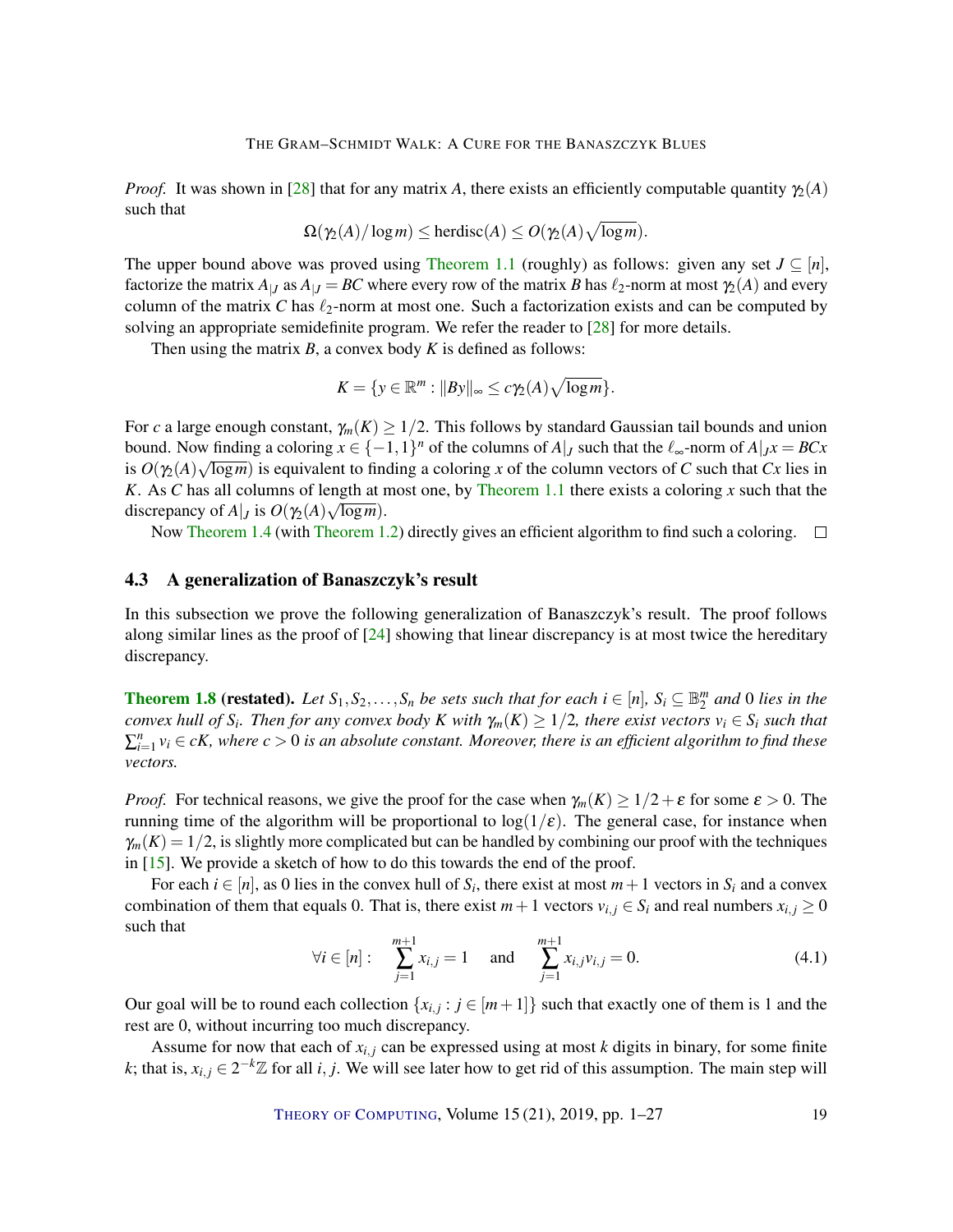<span id="page-18-0"></span>*Proof.* It was shown in [\[28\]](#page-23-6) that for any matrix *A*, there exists an efficiently computable quantity  $\chi(A)$ such that

$$
\Omega(\gamma_2(A)/\log m) \le \text{herdisc}(A) \le O(\gamma_2(A)\sqrt{\log m}).
$$

The upper bound above was proved using [Theorem](#page-2-0) [1.1](#page-2-0) (roughly) as follows: given any set  $J \subseteq [n]$ , factorize the matrix  $A_{|J}$  as  $A_{|J} = BC$  where every row of the matrix *B* has  $\ell_2$ -norm at most  $\gamma_2(A)$  and every column of the matrix  $C$  has  $\ell_2$ -norm at most one. Such a factorization exists and can be computed by solving an appropriate semidefinite program. We refer the reader to [\[28\]](#page-23-6) for more details.

Then using the matrix *B*, a convex body *K* is defined as follows:

$$
K = \{ y \in \mathbb{R}^m : ||By||_{\infty} \leq c\gamma_2(A)\sqrt{\log m} \}.
$$

For *c* a large enough constant,  $\gamma_m(K) \geq 1/2$ . This follows by standard Gaussian tail bounds and union bound. Now finding a coloring  $x \in \{-1,1\}^n$  of the columns of  $A|_J$  such that the  $\ell_{\infty}$ -norm of  $A|_Jx = BCx$ is  $O(\gamma_2(A)\sqrt{\log m})$  is equivalent to finding a coloring *x* of the column vectors of *C* such that *Cx* lies in *K*. As *C* has all columns of length at most one, by [Theorem](#page-2-0) [1.1](#page-2-0) there exists a coloring *x* such that the discrepancy of  $A|_J$  is  $O(\gamma_2(A)\sqrt{\log m})$ .

Now [Theorem](#page-3-0) [1.4](#page-4-1) (with Theorem [1.2\)](#page-3-0) directly gives an efficient algorithm to find such a coloring.  $\square$ 

## 4.3 A generalization of Banaszczyk's result

In this subsection we prove the following generalization of Banaszczyk's result. The proof follows along similar lines as the proof of  $[24]$  showing that linear discrepancy is at most twice the hereditary discrepancy.

**[Theorem](#page-5-1) [1.8](#page-5-1) (restated).** Let  $S_1, S_2, \ldots, S_n$  be sets such that for each  $i \in [n]$ ,  $S_i \subseteq \mathbb{B}_2^m$  and 0 lies in the *convex hull of*  $S_i$ *. Then for any convex body*  $K$  *with*  $\gamma_m(K) \geq 1/2$ *, there exist vectors*  $v_i \in S_i$  *such that*  $\sum_{i=1}^{n}$   $v_i \in cK$ , where  $c > 0$  is an absolute constant. Moreover, there is an efficient algorithm to find these *vectors.*

*Proof.* For technical reasons, we give the proof for the case when  $\gamma_m(K) \geq 1/2 + \varepsilon$  for some  $\varepsilon > 0$ . The running time of the algorithm will be proportional to  $log(1/\epsilon)$ . The general case, for instance when  $\gamma_m(K) = 1/2$ , is slightly more complicated but can be handled by combining our proof with the techniques in [\[15\]](#page-22-8). We provide a sketch of how to do this towards the end of the proof.

For each  $i \in [n]$ , as 0 lies in the convex hull of  $S_i$ , there exist at most  $m+1$  vectors in  $S_i$  and a convex combination of them that equals 0. That is, there exist  $m+1$  vectors  $v_{i,j} \in S_i$  and real numbers  $x_{i,j} \ge 0$ such that

$$
\forall i \in [n]: \quad \sum_{j=1}^{m+1} x_{i,j} = 1 \quad \text{and} \quad \sum_{j=1}^{m+1} x_{i,j} v_{i,j} = 0. \tag{4.1}
$$

Our goal will be to round each collection  $\{x_{i,j} : j \in [m+1]\}$  such that exactly one of them is 1 and the rest are 0, without incurring too much discrepancy.

Assume for now that each of  $x_{i,j}$  can be expressed using at most  $k$  digits in binary, for some finite *k*; that is,  $x_{i,j} \in 2^{-k}\mathbb{Z}$  for all *i*, *j*. We will see later how to get rid of this assumption. The main step will

THEORY OF C[OMPUTING](http://dx.doi.org/10.4086/toc), Volume 15 (21), 2019, pp. 1–27 19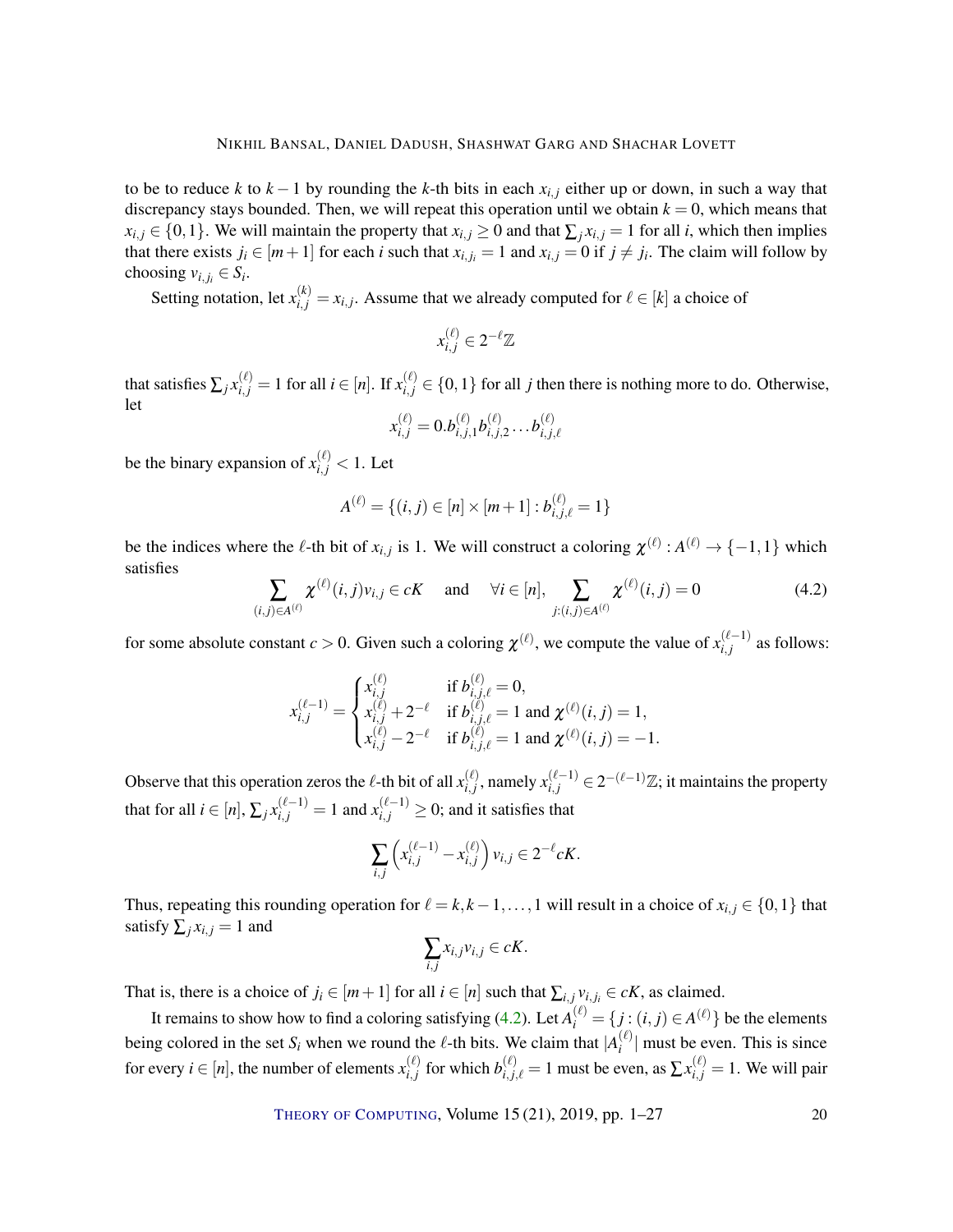#### NIKHIL BANSAL, DANIEL DADUSH, SHASHWAT GARG AND SHACHAR LOVETT

to be to reduce *k* to  $k - 1$  by rounding the *k*-th bits in each  $x_{i,j}$  either up or down, in such a way that discrepancy stays bounded. Then, we will repeat this operation until we obtain  $k = 0$ , which means that *x*<sup>*i*</sup>, *j* ∈ {0,1}. We will maintain the property that  $x$ <sup>*i*</sup>,  $\geq$  0 and that  $\sum_i x$ <sup>*i*</sup>,  $\neq$  1 for all *i*, which then implies that there exists  $j_i \in [m+1]$  for each *i* such that  $x_{i,j_i} = 1$  and  $x_{i,j} = 0$  if  $j \neq j_i$ . The claim will follow by choosing  $v_{i,j_i} \in S_i$ .

Setting notation, let  $x_{i,j}^{(k)} = x_{i,j}$ . Assume that we already computed for  $\ell \in [k]$  a choice of

$$
x_{i,j}^{(\ell)} \in 2^{-\ell} \mathbb{Z}
$$

that satisfies  $\sum_j x_{i,j}^{(\ell)} = 1$  for all  $i \in [n]$ . If  $x_{i,j}^{(\ell)} \in \{0,1\}$  for all *j* then there is nothing more to do. Otherwise, let

$$
x_{i,j}^{(\ell)} = 0.b_{i,j,1}^{(\ell)}b_{i,j,2}^{(\ell)}\ldots b_{i,j,\ell}^{(\ell)}
$$

be the binary expansion of  $x_{i,j}^{(\ell)} < 1$ . Let

$$
A^{(\ell)} = \{(i, j) \in [n] \times [m+1] : b^{(\ell)}_{i,j,\ell} = 1\}
$$

be the indices where the  $\ell$ -th bit of  $x_{i,j}$  is 1. We will construct a coloring  $\chi^{(\ell)} : A^{(\ell)} \to \{-1,1\}$  which satisfies

<span id="page-19-0"></span>
$$
\sum_{(i,j)\in A^{(\ell)}} \chi^{(\ell)}(i,j) v_{i,j} \in cK \quad \text{and} \quad \forall i \in [n], \sum_{j:(i,j)\in A^{(\ell)}} \chi^{(\ell)}(i,j) = 0 \tag{4.2}
$$

for some absolute constant  $c > 0$ . Given such a coloring  $\chi^{(\ell)}$ , we compute the value of  $x_{i,j}^{(\ell-1)}$  $\sum_{i,j}^{(\ell-1)}$  as follows:

$$
x_{i,j}^{(\ell-1)} = \begin{cases} x_{i,j}^{(\ell)} & \text{if } b_{i,j,\ell}^{(\ell)} = 0, \\ x_{i,j}^{(\ell)} + 2^{-\ell} & \text{if } b_{i,j,\ell}^{(\ell)} = 1 \text{ and } \chi^{(\ell)}(i,j) = 1, \\ x_{i,j}^{(\ell)} - 2^{-\ell} & \text{if } b_{i,j,\ell}^{(\ell)} = 1 \text{ and } \chi^{(\ell)}(i,j) = -1. \end{cases}
$$

Observe that this operation zeros the  $\ell$ -th bit of all  $x_i^{(\ell)}$  $\sum_{i,j}^{(\ell)}$ , namely  $x_{i,j}^{(\ell-1)}$  ∈ 2<sup>-( $\ell$ -1) $\mathbb{Z}$ ; it maintains the property</sup> that for all  $i \in [n],$   $\sum_j x_{i,j}^{(\ell-1)} = 1$  and  $x_{i,j}^{(\ell-1)} \geq 0;$  and it satisfies that

$$
\sum_{i,j}\left(x_{i,j}^{(\ell-1)}-x_{i,j}^{(\ell)}\right)v_{i,j}\in 2^{-\ell}cK.
$$

Thus, repeating this rounding operation for  $\ell = k, k - 1, \ldots, 1$  will result in a choice of  $x_{i,j} \in \{0, 1\}$  that satisfy  $\sum_{i} x_{i,j} = 1$  and

$$
\sum_{i,j} x_{i,j} v_{i,j} \in cK.
$$

That is, there is a choice of  $j_i \in [m+1]$  for all  $i \in [n]$  such that  $\sum_{i,j} v_{i,j_i} \in cK$ , as claimed.

It remains to show how to find a coloring satisfying [\(4.2\)](#page-19-0). Let  $A_i^{(\ell)} = \{j : (i,j) \in A^{(\ell)}\}$  be the elements being colored in the set  $S_i$  when we round the  $\ell$ -th bits. We claim that  $|A_i^{(\ell)}|$  $\binom{e}{i}$  must be even. This is since for every  $i \in [n]$ , the number of elements  $x_{i,j}^{(\ell)}$  $\sum_{i,j}^{(\ell)}$  for which  $b_{i,j,\ell}^{(\ell)} = 1$  must be even, as  $\sum_{i,j} x_{i,j}^{(\ell)} = 1$ . We will pair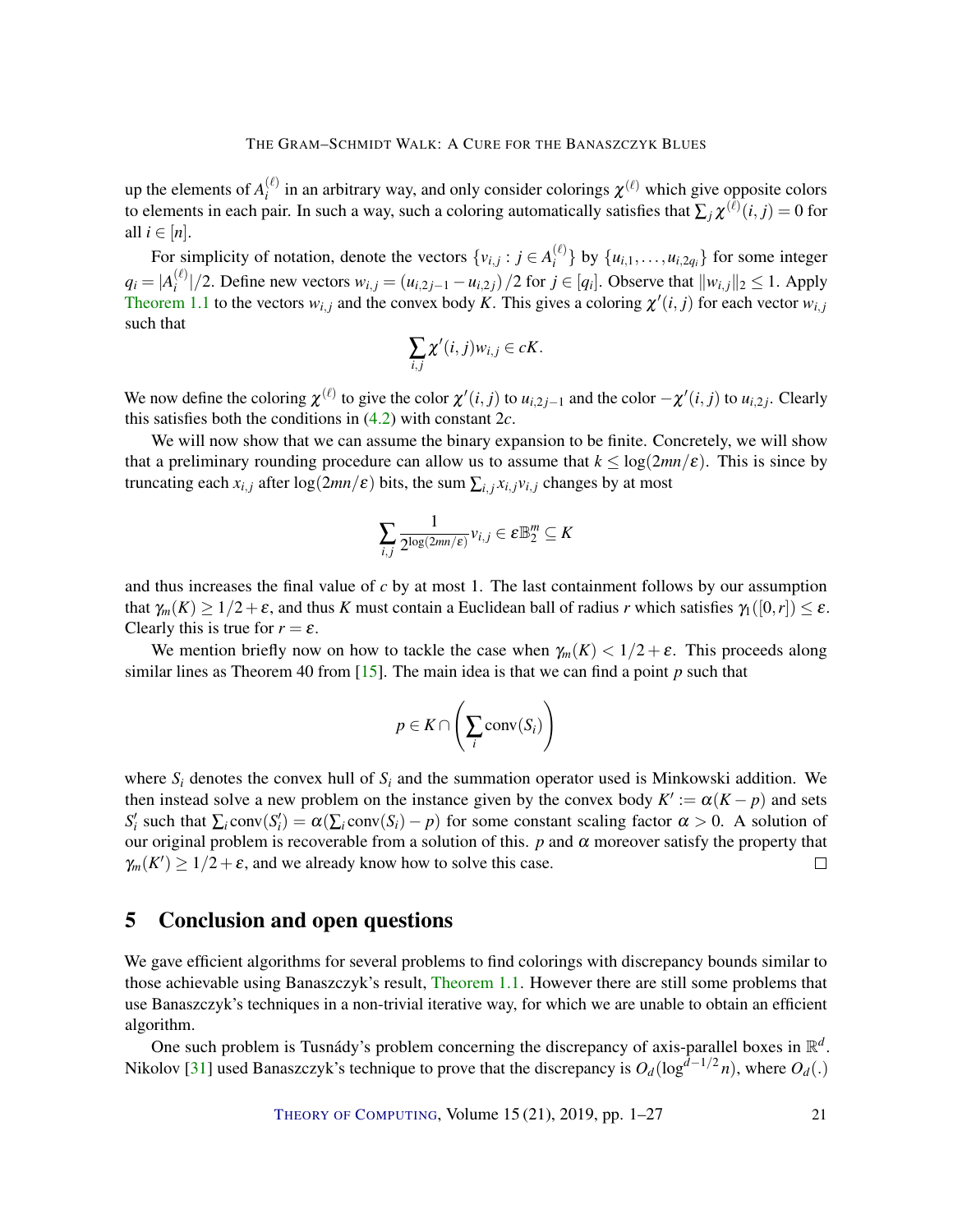<span id="page-20-0"></span>up the elements of  $A_i^{(\ell)}$  $\chi_i^{(\ell)}$  in an arbitrary way, and only consider colorings  $\chi^{(\ell)}$  which give opposite colors to elements in each pair. In such a way, such a coloring automatically satisfies that  $\sum_j \chi^{(\ell)}(i,j) = 0$  for all  $i \in [n]$ .

For simplicity of notation, denote the vectors  $\{v_{i,j} : j \in A_i^{(\ell)}\}$  $\{u_i\}$  by  $\{u_{i,1}, \ldots, u_{i,2q_i}\}$  for some integer  $q_i = |A_i^{(\ell)}|$  $\int_{i}^{(t)}$  //2. Define new vectors  $w_{i,j} = (u_{i,2j-1} - u_{i,2j})/2$  for  $j \in [q_i]$ . Observe that  $||w_{i,j}||_2 \le 1$ . Apply [Theorem](#page-2-0) [1.1](#page-2-0) to the vectors  $w_{i,j}$  and the convex body K. This gives a coloring  $\chi'(i,j)$  for each vector  $w_{i,j}$ such that

$$
\sum_{i,j}\chi'(i,j)w_{i,j}\in cK.
$$

We now define the coloring  $\chi^{(\ell)}$  to give the color  $\chi'(i, j)$  to  $u_{i,2j-1}$  and the color  $-\chi'(i, j)$  to  $u_{i,2j}$ . Clearly this satisfies both the conditions in [\(4.2\)](#page-19-0) with constant 2*c*.

We will now show that we can assume the binary expansion to be finite. Concretely, we will show that a preliminary rounding procedure can allow us to assume that  $k \leq \log(2mn/\varepsilon)$ . This is since by truncating each  $x_{i,j}$  after log(2*mn/ε*) bits, the sum  $\sum_{i,j} x_{i,j} v_{i,j}$  changes by at most

$$
\sum_{i,j} \frac{1}{2^{\log(2mn/\epsilon)}} v_{i,j} \in \varepsilon \mathbb{B}_2^m \subseteq K
$$

and thus increases the final value of *c* by at most 1. The last containment follows by our assumption that  $\gamma_m(K) \geq 1/2 + \varepsilon$ , and thus *K* must contain a Euclidean ball of radius *r* which satisfies  $\gamma_1([0,r]) \leq \varepsilon$ . Clearly this is true for  $r = \varepsilon$ .

We mention briefly now on how to tackle the case when  $\gamma_m(K) < 1/2 + \varepsilon$ . This proceeds along similar lines as Theorem 40 from [\[15\]](#page-22-8). The main idea is that we can find a point *p* such that

$$
p \in K \cap \left(\sum_i \operatorname{conv}(S_i)\right)
$$

where  $S_i$  denotes the convex hull of  $S_i$  and the summation operator used is Minkowski addition. We then instead solve a new problem on the instance given by the convex body  $K' := \alpha(K - p)$  and sets  $S_i'$  such that  $\sum_i \text{conv}(S_i') = \alpha(\sum_i \text{conv}(S_i) - p)$  for some constant scaling factor  $\alpha > 0$ . A solution of our original problem is recoverable from a solution of this.  $p$  and  $\alpha$  moreover satisfy the property that  $\gamma_m(K') \geq 1/2 + \varepsilon$ , and we already know how to solve this case.  $\Box$ 

# 5 Conclusion and open questions

We gave efficient algorithms for several problems to find colorings with discrepancy bounds similar to those achievable using Banaszczyk's result, [Theorem](#page-2-0) [1.1.](#page-2-0) However there are still some problems that use Banaszczyk's techniques in a non-trivial iterative way, for which we are unable to obtain an efficient algorithm.

One such problem is Tusnády's problem concerning the discrepancy of axis-parallel boxes in  $\mathbb{R}^d$ . Nikolov [\[31\]](#page-23-8) used Banaszczyk's technique to prove that the discrepancy is  $O_d(\log^{d-1/2} n)$ , where  $O_d(.)$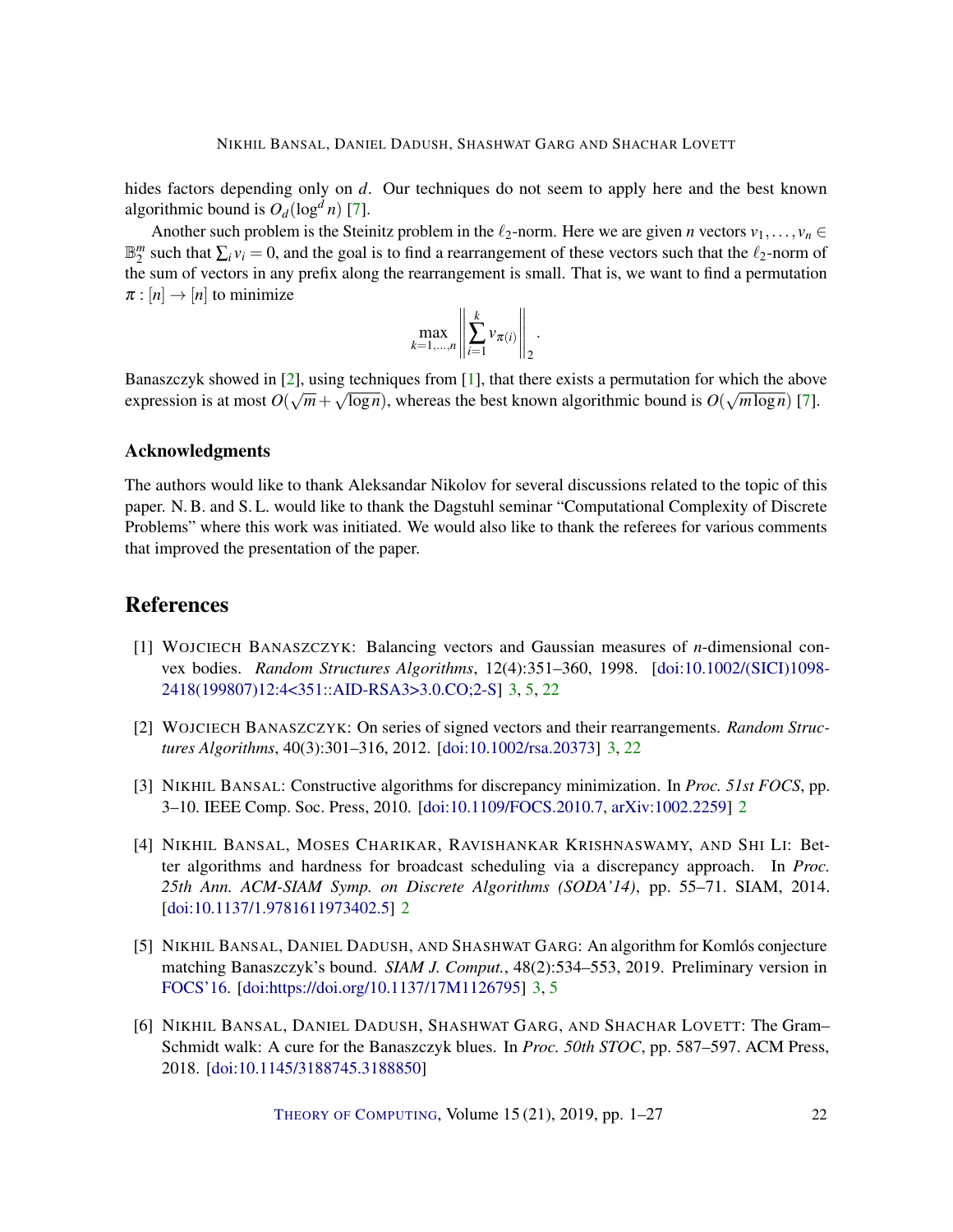<span id="page-21-5"></span>hides factors depending only on *d*. Our techniques do not seem to apply here and the best known algorithmic bound is  $O_d(\log^d n)$  [\[7\]](#page-22-9).

Another such problem is the Steinitz problem in the  $\ell_2$ -norm. Here we are given *n* vectors  $v_1, \ldots, v_n \in$  $\mathbb{B}_2^m$  such that  $\sum_i v_i = 0$ , and the goal is to find a rearrangement of these vectors such that the  $\ell_2$ -norm of the sum of vectors in any prefix along the rearrangement is small. That is, we want to find a permutation  $\pi : [n] \rightarrow [n]$  to minimize

$$
\max_{k=1,\ldots,n}\left\|\sum_{i=1}^k v_{\pi(i)}\right\|_2.
$$

Banaszczyk showed in [\[2\]](#page-21-3), using techniques from [\[1\]](#page-21-2), that there exists a permutation for which the above expression is at most  $O(\sqrt{m} + \sqrt{\log n})$ , whereas the best known algorithmic bound is  $O(\sqrt{m \log n})$  [\[7\]](#page-22-9).

#### Acknowledgments

The authors would like to thank Aleksandar Nikolov for several discussions related to the topic of this paper. N. B. and S. L. would like to thank the Dagstuhl seminar "Computational Complexity of Discrete Problems" where this work was initiated. We would also like to thank the referees for various comments that improved the presentation of the paper.

# References

- <span id="page-21-2"></span>[1] WOJCIECH BANASZCZYK: Balancing vectors and Gaussian measures of *n*-dimensional convex bodies. *Random Structures Algorithms*, 12(4):351–360, 1998. [\[doi:10.1002/\(SICI\)1098-](http://dx.doi.org/10.1002/(SICI)1098-2418(199807)12:4<351::AID-RSA3>3.0.CO;2-S) [2418\(199807\)12:4<351::AID-RSA3>3.0.CO;2-S\]](http://dx.doi.org/10.1002/(SICI)1098-2418(199807)12:4<351::AID-RSA3>3.0.CO;2-S) [3,](#page-2-1) [5,](#page-4-2) [22](#page-21-5)
- <span id="page-21-3"></span>[2] WOJCIECH BANASZCZYK: On series of signed vectors and their rearrangements. *Random Structures Algorithms*, 40(3):301–316, 2012. [\[doi:10.1002/rsa.20373\]](http://dx.doi.org/10.1002/rsa.20373) [3,](#page-2-1) [22](#page-21-5)
- <span id="page-21-0"></span>[3] NIKHIL BANSAL: Constructive algorithms for discrepancy minimization. In *Proc. 51st FOCS*, pp. 3–10. IEEE Comp. Soc. Press, 2010. [\[doi:10.1109/FOCS.2010.7,](http://dx.doi.org/10.1109/FOCS.2010.7) [arXiv:1002.2259\]](http://arxiv.org/abs/1002.2259) [2](#page-1-0)
- <span id="page-21-1"></span>[4] NIKHIL BANSAL, MOSES CHARIKAR, RAVISHANKAR KRISHNASWAMY, AND SHI LI: Better algorithms and hardness for broadcast scheduling via a discrepancy approach. In *Proc. 25th Ann. ACM-SIAM Symp. on Discrete Algorithms (SODA'14)*, pp. 55–71. SIAM, 2014. [\[doi:10.1137/1.9781611973402.5\]](http://dx.doi.org/10.1137/1.9781611973402.5) [2](#page-1-0)
- <span id="page-21-4"></span>[5] NIKHIL BANSAL, DANIEL DADUSH, AND SHASHWAT GARG: An algorithm for Komlós conjecture matching Banaszczyk's bound. *SIAM J. Comput.*, 48(2):534–553, 2019. Preliminary version in [FOCS'16.](https://doi.org/10.1109/FOCS.2016.89) [\[doi:https://doi.org/10.1137/17M1126795\]](http://dx.doi.org/https://doi.org/10.1137/17M1126795) [3,](#page-2-1) [5](#page-4-2)
- [6] NIKHIL BANSAL, DANIEL DADUSH, SHASHWAT GARG, AND SHACHAR LOVETT: The Gram– Schmidt walk: A cure for the Banaszczyk blues. In *Proc. 50th STOC*, pp. 587–597. ACM Press, 2018. [\[doi:10.1145/3188745.3188850\]](http://dx.doi.org/10.1145/3188745.3188850)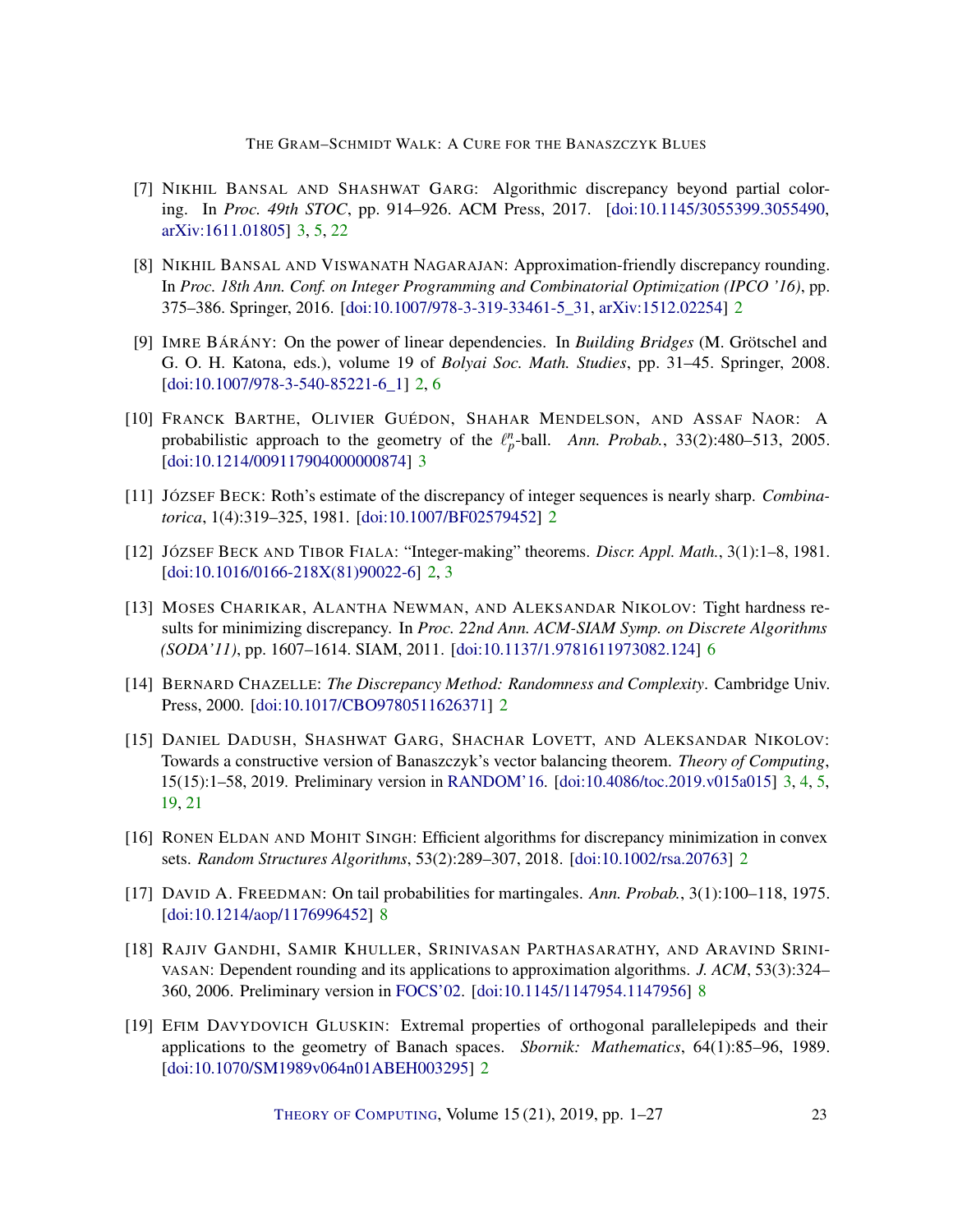#### THE GRAM–SCHMIDT WALK: A CURE FOR THE BANASZCZYK BLUES

- <span id="page-22-9"></span>[7] NIKHIL BANSAL AND SHASHWAT GARG: Algorithmic discrepancy beyond partial coloring. In *Proc. 49th STOC*, pp. 914–926. ACM Press, 2017. [\[doi:10.1145/3055399.3055490,](http://dx.doi.org/10.1145/3055399.3055490) [arXiv:1611.01805\]](http://arxiv.org/abs/1611.01805) [3,](#page-2-1) [5,](#page-4-2) [22](#page-21-5)
- <span id="page-22-6"></span>[8] NIKHIL BANSAL AND VISWANATH NAGARAJAN: Approximation-friendly discrepancy rounding. In *Proc. 18th Ann. Conf. on Integer Programming and Combinatorial Optimization (IPCO '16)*, pp. 375–386. Springer, 2016. [\[doi:10.1007/978-3-319-33461-5\\_31,](http://dx.doi.org/10.1007/978-3-319-33461-5_31) [arXiv:1512.02254\]](http://arxiv.org/abs/1512.02254) [2](#page-1-0)
- <span id="page-22-1"></span>[9] IMRE BÁRÁNY: On the power of linear dependencies. In *Building Bridges* (M. Grötschel and G. O. H. Katona, eds.), volume 19 of *Bolyai Soc. Math. Studies*, pp. 31–45. Springer, 2008. [\[doi:10.1007/978-3-540-85221-6\\_1\]](http://dx.doi.org/10.1007/978-3-540-85221-6_1) [2,](#page-1-0) [6](#page-5-4)
- <span id="page-22-7"></span>[10] FRANCK BARTHE, OLIVIER GUÉDON, SHAHAR MENDELSON, AND ASSAF NAOR: A probabilistic approach to the geometry of the  $\ell_p^n$ -ball. *Ann. Probab.*, 33(2):480–513, 2005. [\[doi:10.1214/009117904000000874\]](http://dx.doi.org/10.1214/009117904000000874) [3](#page-2-1)
- <span id="page-22-3"></span>[11] JÓZSEF BECK: Roth's estimate of the discrepancy of integer sequences is nearly sharp. *Combinatorica*, 1(4):319–325, 1981. [\[doi:10.1007/BF02579452\]](http://dx.doi.org/10.1007/BF02579452) [2](#page-1-0)
- <span id="page-22-2"></span>[12] JÓZSEF BECK AND TIBOR FIALA: "Integer-making" theorems. *Discr. Appl. Math.*, 3(1):1–8, 1981. [\[doi:10.1016/0166-218X\(81\)90022-6\]](http://dx.doi.org/10.1016/0166-218X(81)90022-6) [2,](#page-1-0) [3](#page-2-1)
- <span id="page-22-10"></span>[13] MOSES CHARIKAR, ALANTHA NEWMAN, AND ALEKSANDAR NIKOLOV: Tight hardness results for minimizing discrepancy. In *Proc. 22nd Ann. ACM-SIAM Symp. on Discrete Algorithms (SODA'11)*, pp. 1607–1614. SIAM, 2011. [\[doi:10.1137/1.9781611973082.124\]](http://dx.doi.org/10.1137/1.9781611973082.124) [6](#page-5-4)
- <span id="page-22-0"></span>[14] BERNARD CHAZELLE: *The Discrepancy Method: Randomness and Complexity*. Cambridge Univ. Press, 2000. [\[doi:10.1017/CBO9780511626371\]](http://dx.doi.org/10.1017/CBO9780511626371) [2](#page-1-0)
- <span id="page-22-8"></span>[15] DANIEL DADUSH, SHASHWAT GARG, SHACHAR LOVETT, AND ALEKSANDAR NIKOLOV: Towards a constructive version of Banaszczyk's vector balancing theorem. *Theory of Computing*, 15(15):1–58, 2019. Preliminary version in [RANDOM'16.](http://doi.org/10.4230/LIPIcs.APPROX-RANDOM.2016.28) [\[doi:10.4086/toc.2019.v015a015\]](http://dx.doi.org/10.4086/toc.2019.v015a015) [3,](#page-2-1) [4,](#page-3-1) [5,](#page-4-2) [19,](#page-18-0) [21](#page-20-0)
- <span id="page-22-5"></span>[16] RONEN ELDAN AND MOHIT SINGH: Efficient algorithms for discrepancy minimization in convex sets. *Random Structures Algorithms*, 53(2):289–307, 2018. [\[doi:10.1002/rsa.20763\]](http://dx.doi.org/10.1002/rsa.20763) [2](#page-1-0)
- <span id="page-22-12"></span>[17] DAVID A. FREEDMAN: On tail probabilities for martingales. *Ann. Probab.*, 3(1):100–118, 1975. [\[doi:10.1214/aop/1176996452\]](http://dx.doi.org/10.1214/aop/1176996452) [8](#page-7-4)
- <span id="page-22-11"></span>[18] RAJIV GANDHI, SAMIR KHULLER, SRINIVASAN PARTHASARATHY, AND ARAVIND SRINI-VASAN: Dependent rounding and its applications to approximation algorithms. *J. ACM*, 53(3):324– 360, 2006. Preliminary version in [FOCS'02.](https://doi.org/10.1109/SFCS.2002.1181955) [\[doi:10.1145/1147954.1147956\]](http://dx.doi.org/10.1145/1147954.1147956) [8](#page-7-4)
- <span id="page-22-4"></span>[19] EFIM DAVYDOVICH GLUSKIN: Extremal properties of orthogonal parallelepipeds and their applications to the geometry of Banach spaces. *Sbornik: Mathematics*, 64(1):85–96, 1989. [\[doi:10.1070/SM1989v064n01ABEH003295\]](http://dx.doi.org/10.1070/SM1989v064n01ABEH003295) [2](#page-1-0)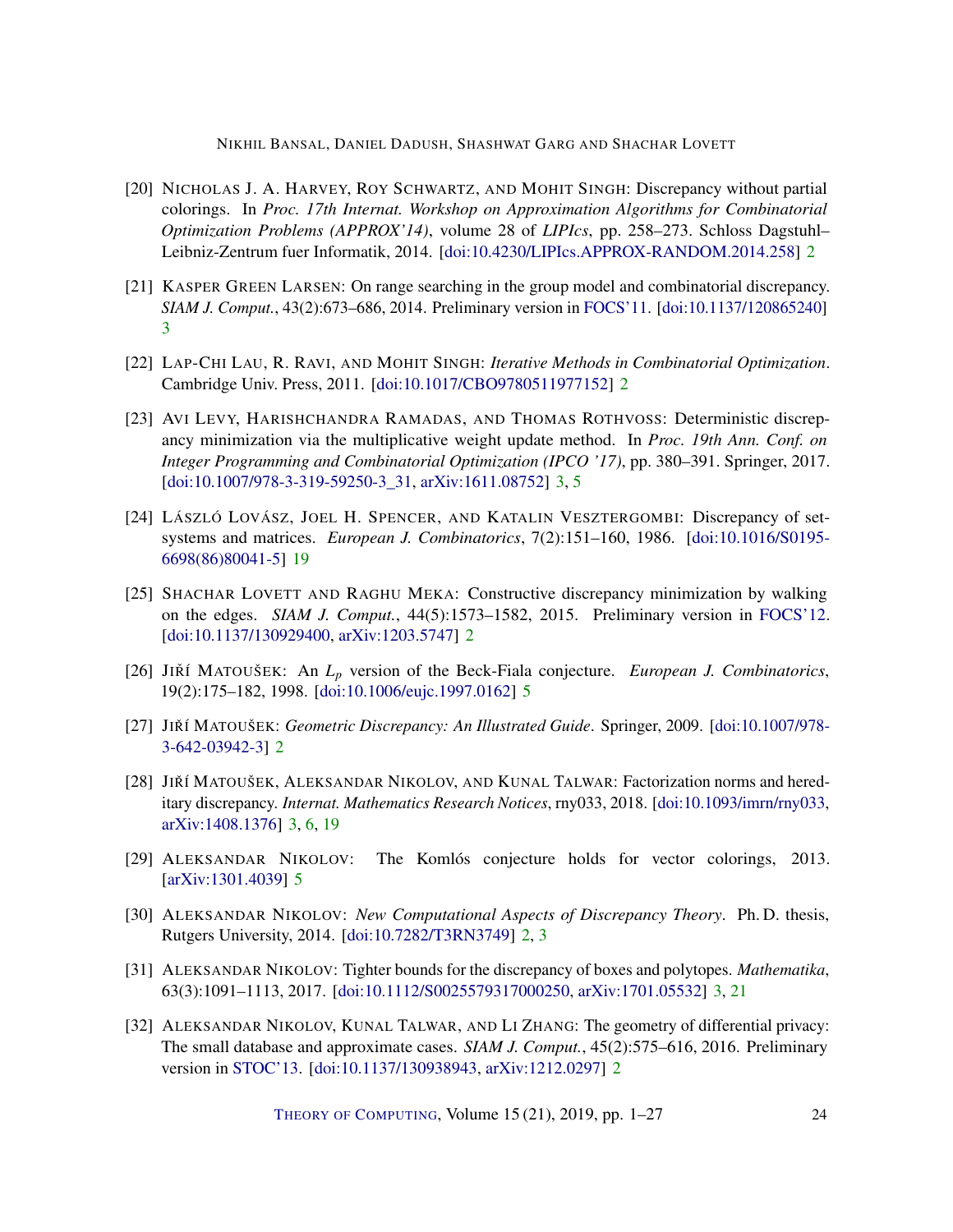NIKHIL BANSAL, DANIEL DADUSH, SHASHWAT GARG AND SHACHAR LOVETT

- <span id="page-23-4"></span>[20] NICHOLAS J. A. HARVEY, ROY SCHWARTZ, AND MOHIT SINGH: Discrepancy without partial colorings. In *Proc. 17th Internat. Workshop on Approximation Algorithms for Combinatorial Optimization Problems (APPROX'14)*, volume 28 of *LIPIcs*, pp. 258–273. Schloss Dagstuhl– Leibniz-Zentrum fuer Informatik, 2014. [\[doi:10.4230/LIPIcs.APPROX-RANDOM.2014.258\]](http://dx.doi.org/10.4230/LIPIcs.APPROX-RANDOM.2014.258) [2](#page-1-0)
- <span id="page-23-7"></span>[21] KASPER GREEN LARSEN: On range searching in the group model and combinatorial discrepancy. *SIAM J. Comput.*, 43(2):673–686, 2014. Preliminary version in [FOCS'11.](https://doi.org/10.1109/FOCS.2011.14) [\[doi:10.1137/120865240\]](http://dx.doi.org/10.1137/120865240) [3](#page-2-1)
- <span id="page-23-2"></span>[22] LAP-CHI LAU, R. RAVI, AND MOHIT SINGH: *Iterative Methods in Combinatorial Optimization*. Cambridge Univ. Press, 2011. [\[doi:10.1017/CBO9780511977152\]](http://dx.doi.org/10.1017/CBO9780511977152) [2](#page-1-0)
- <span id="page-23-9"></span>[23] AVI LEVY, HARISHCHANDRA RAMADAS, AND THOMAS ROTHVOSS: Deterministic discrepancy minimization via the multiplicative weight update method. In *Proc. 19th Ann. Conf. on Integer Programming and Combinatorial Optimization (IPCO '17)*, pp. 380–391. Springer, 2017. [\[doi:10.1007/978-3-319-59250-3\\_31,](http://dx.doi.org/10.1007/978-3-319-59250-3_31) [arXiv:1611.08752\]](http://arxiv.org/abs/1611.08752) [3,](#page-2-1) [5](#page-4-2)
- <span id="page-23-12"></span>[24] LÁSZLÓ LOVÁSZ, JOEL H. SPENCER, AND KATALIN VESZTERGOMBI: Discrepancy of setsystems and matrices. *European J. Combinatorics*, 7(2):151–160, 1986. [\[doi:10.1016/S0195-](http://dx.doi.org/10.1016/S0195-6698(86)80041-5) [6698\(86\)80041-5\]](http://dx.doi.org/10.1016/S0195-6698(86)80041-5) [19](#page-18-0)
- <span id="page-23-3"></span>[25] SHACHAR LOVETT AND RAGHU MEKA: Constructive discrepancy minimization by walking on the edges. *SIAM J. Comput.*, 44(5):1573–1582, 2015. Preliminary version in [FOCS'12.](https://doi.org/10.1109/FOCS.2012.23) [\[doi:10.1137/130929400,](http://dx.doi.org/10.1137/130929400) [arXiv:1203.5747\]](http://arxiv.org/abs/1203.5747) [2](#page-1-0)
- <span id="page-23-11"></span>[26] JIŘÍ MATOUŠEK: An  $L_p$  version of the Beck-Fiala conjecture. *European J. Combinatorics*, 19(2):175–182, 1998. [\[doi:10.1006/eujc.1997.0162\]](http://dx.doi.org/10.1006/eujc.1997.0162) [5](#page-4-2)
- <span id="page-23-0"></span>[27] JIŘÍ MATOUŠEK: *Geometric Discrepancy: An Illustrated Guide*. Springer, 2009. [\[doi:10.1007/978-](http://dx.doi.org/10.1007/978-3-642-03942-3) [3-642-03942-3\]](http://dx.doi.org/10.1007/978-3-642-03942-3) [2](#page-1-0)
- <span id="page-23-6"></span>[28] JIŘÍ MATOUŠEK, ALEKSANDAR NIKOLOV, AND KUNAL TALWAR: Factorization norms and hereditary discrepancy. *Internat. Mathematics Research Notices*, rny033, 2018. [\[doi:10.1093/imrn/rny033,](http://dx.doi.org/10.1093/imrn/rny033) [arXiv:1408.1376\]](http://arxiv.org/abs/1408.1376) [3,](#page-2-1) [6,](#page-5-4) [19](#page-18-0)
- <span id="page-23-10"></span>[29] ALEKSANDAR NIKOLOV: The Komlós conjecture holds for vector colorings, 2013. [\[arXiv:1301.4039\]](http://arxiv.org/abs/1301.4039) [5](#page-4-2)
- <span id="page-23-1"></span>[30] ALEKSANDAR NIKOLOV: *New Computational Aspects of Discrepancy Theory*. Ph. D. thesis, Rutgers University, 2014. [\[doi:10.7282/T3RN3749\]](http://dx.doi.org/10.7282/T3RN3749) [2,](#page-1-0) [3](#page-2-1)
- <span id="page-23-8"></span>[31] ALEKSANDAR NIKOLOV: Tighter bounds for the discrepancy of boxes and polytopes. *Mathematika*, 63(3):1091–1113, 2017. [\[doi:10.1112/S0025579317000250,](http://dx.doi.org/10.1112/S0025579317000250) [arXiv:1701.05532\]](http://arxiv.org/abs/1701.05532) [3,](#page-2-1) [21](#page-20-0)
- <span id="page-23-5"></span>[32] ALEKSANDAR NIKOLOV, KUNAL TALWAR, AND LI ZHANG: The geometry of differential privacy: The small database and approximate cases. *SIAM J. Comput.*, 45(2):575–616, 2016. Preliminary version in [STOC'13.](https://doi.org/10.1145/2488608.2488652) [\[doi:10.1137/130938943,](http://dx.doi.org/10.1137/130938943) [arXiv:1212.0297\]](http://arxiv.org/abs/1212.0297) [2](#page-1-0)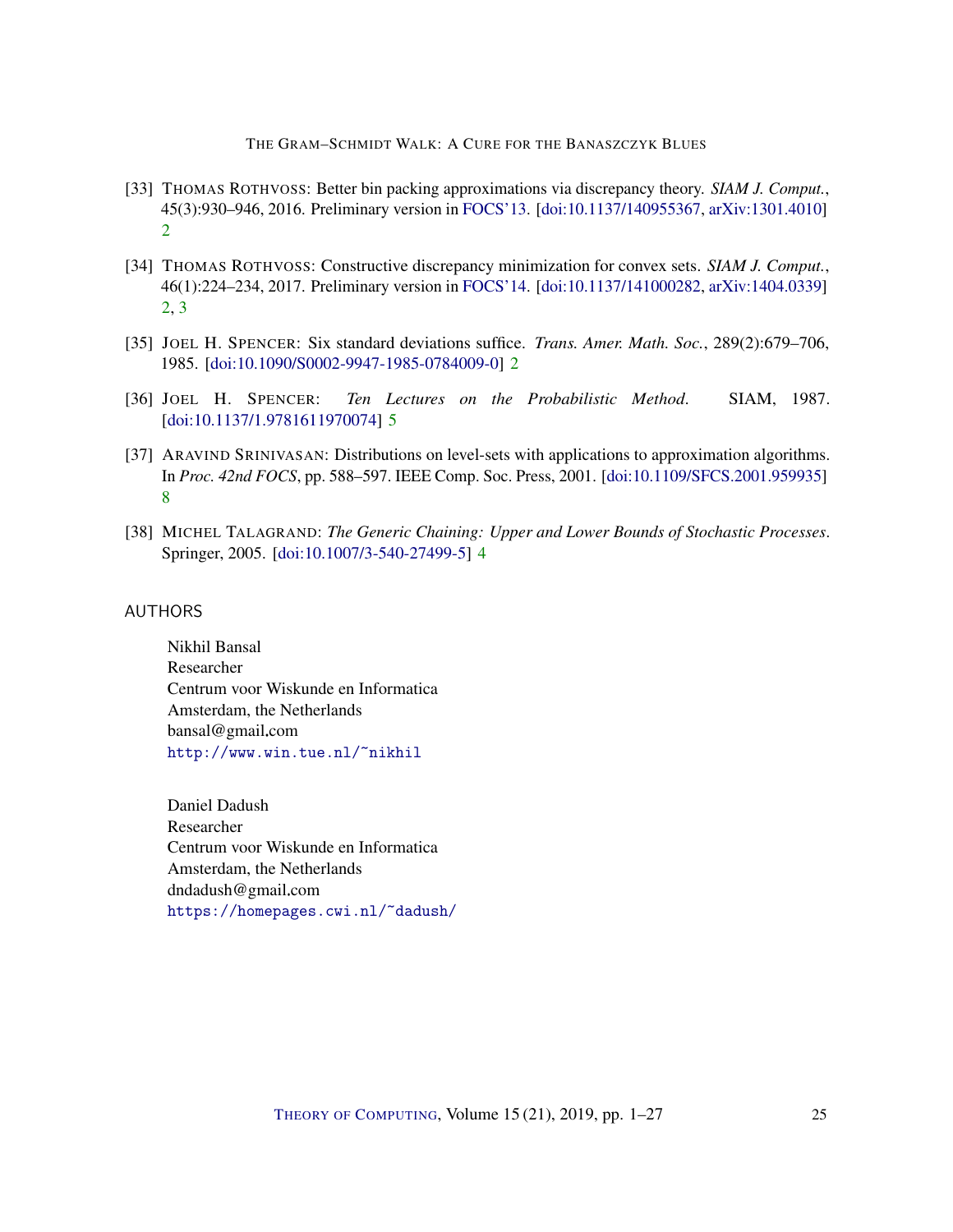THE GRAM–SCHMIDT WALK: A CURE FOR THE BANASZCZYK BLUES

- <span id="page-24-4"></span>[33] THOMAS ROTHVOSS: Better bin packing approximations via discrepancy theory. *SIAM J. Comput.*, 45(3):930–946, 2016. Preliminary version in [FOCS'13.](https://doi.org/10.1109/FOCS.2013.11) [\[doi:10.1137/140955367,](http://dx.doi.org/10.1137/140955367) [arXiv:1301.4010\]](http://arxiv.org/abs/1301.4010) [2](#page-1-0)
- <span id="page-24-3"></span>[34] THOMAS ROTHVOSS: Constructive discrepancy minimization for convex sets. *SIAM J. Comput.*, 46(1):224–234, 2017. Preliminary version in [FOCS'14.](https://doi.org/10.1109/FOCS.2014.23) [\[doi:10.1137/141000282,](http://dx.doi.org/10.1137/141000282) [arXiv:1404.0339\]](http://arxiv.org/abs/1404.0339) [2,](#page-1-0) [3](#page-2-1)
- <span id="page-24-2"></span>[35] JOEL H. SPENCER: Six standard deviations suffice. *Trans. Amer. Math. Soc.*, 289(2):679–706, 1985. [\[doi:10.1090/S0002-9947-1985-0784009-0\]](http://dx.doi.org/10.1090/S0002-9947-1985-0784009-0) [2](#page-1-0)
- <span id="page-24-6"></span>[36] JOEL H. SPENCER: *Ten Lectures on the Probabilistic Method*. SIAM, 1987. [\[doi:10.1137/1.9781611970074\]](http://dx.doi.org/10.1137/1.9781611970074) [5](#page-4-2)
- <span id="page-24-7"></span>[37] ARAVIND SRINIVASAN: Distributions on level-sets with applications to approximation algorithms. In *Proc. 42nd FOCS*, pp. 588–597. IEEE Comp. Soc. Press, 2001. [\[doi:10.1109/SFCS.2001.959935\]](http://dx.doi.org/10.1109/SFCS.2001.959935) [8](#page-7-4)
- <span id="page-24-5"></span>[38] MICHEL TALAGRAND: *The Generic Chaining: Upper and Lower Bounds of Stochastic Processes*. Springer, 2005. [\[doi:10.1007/3-540-27499-5\]](http://dx.doi.org/10.1007/3-540-27499-5) [4](#page-3-1)

#### <span id="page-24-0"></span>AUTHORS

Nikhil Bansal Researcher Centrum voor Wiskunde en Informatica Amsterdam, the Netherlands bansal@gmail.com <http://www.win.tue.nl/~nikhil>

<span id="page-24-1"></span>Daniel Dadush Researcher Centrum voor Wiskunde en Informatica Amsterdam, the Netherlands dndadush@gmail.com <https://homepages.cwi.nl/~dadush/>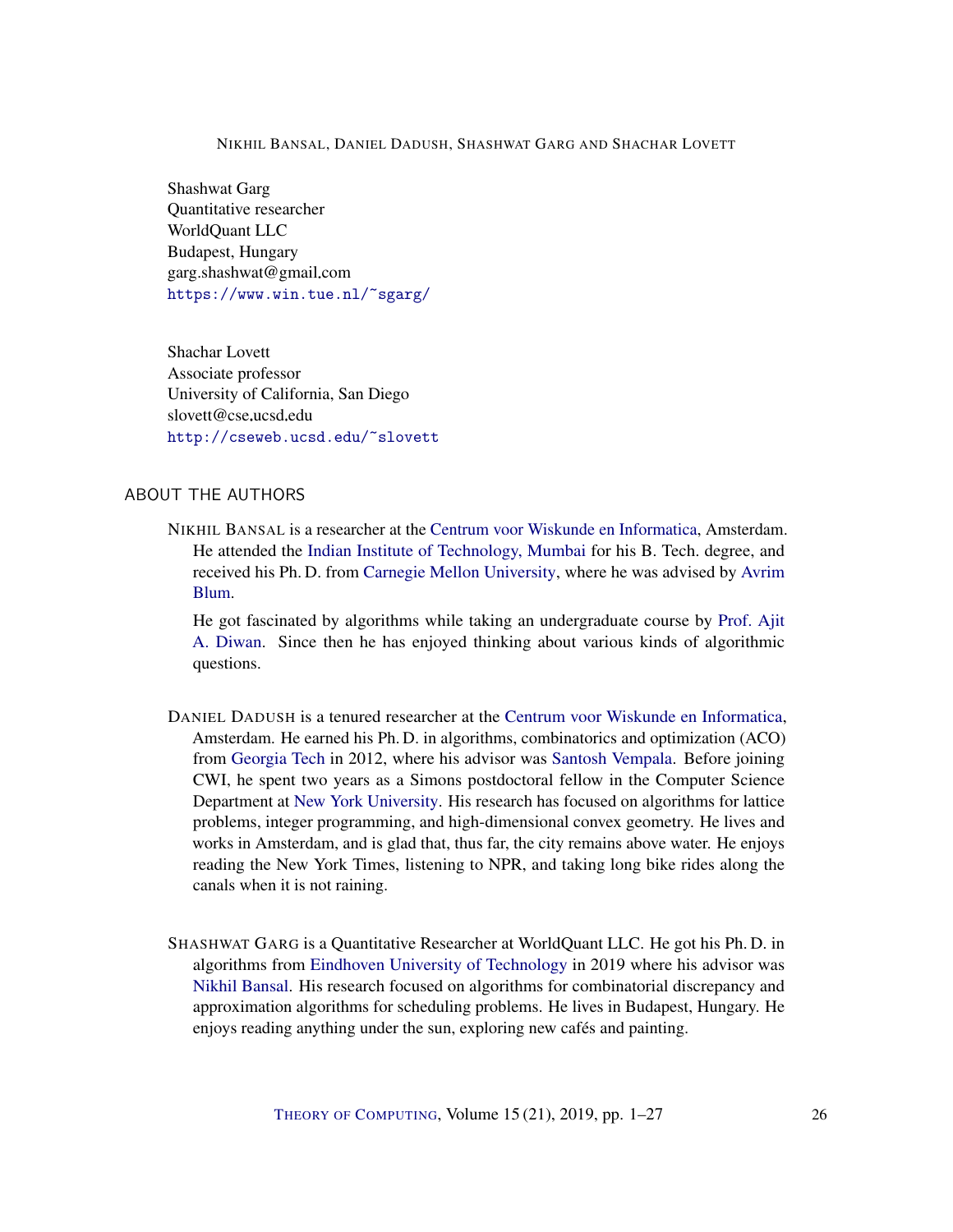#### NIKHIL BANSAL, DANIEL DADUSH, SHASHWAT GARG AND SHACHAR LOVETT

<span id="page-25-0"></span>Shashwat Garg Quantitative researcher WorldQuant LLC Budapest, Hungary garg.shashwat@gmail.com <https://www.win.tue.nl/~sgarg/>

<span id="page-25-1"></span>Shachar Lovett Associate professor University of California, San Diego slovett@cse.ucsd.edu <http://cseweb.ucsd.edu/~slovett>

#### ABOUT THE AUTHORS

NIKHIL BANSAL is a researcher at the [Centrum voor Wiskunde en Informatica,](http://www.cwi.nl) Amsterdam. He attended the [Indian Institute of Technology, Mumbai](http://www.iitb.ac.in/) for his B. Tech. degree, and received his Ph. D. from [Carnegie Mellon University,](http://www.cmu.edu/) where he was advised by [Avrim](https://ttic.uchicago.edu/~avrim/) [Blum.](https://ttic.uchicago.edu/~avrim/)

He got fascinated by algorithms while taking an undergraduate course by [Prof. Ajit](https://www.cse.iitb.ac.in/~aad/) [A. Diwan.](https://www.cse.iitb.ac.in/~aad/) Since then he has enjoyed thinking about various kinds of algorithmic questions.

- DANIEL DADUSH is a tenured researcher at the [Centrum voor Wiskunde en Informatica,](http://www.cwi.nl) Amsterdam. He earned his Ph. D. in algorithms, combinatorics and optimization (ACO) from [Georgia Tech](http://www.gatech.edu) in 2012, where his advisor was [Santosh Vempala.](https://www.cc.gatech.edu/~vempala/) Before joining CWI, he spent two years as a Simons postdoctoral fellow in the Computer Science Department at [New York University.](http://www.nyu.edu) His research has focused on algorithms for lattice problems, integer programming, and high-dimensional convex geometry. He lives and works in Amsterdam, and is glad that, thus far, the city remains above water. He enjoys reading the New York Times, listening to NPR, and taking long bike rides along the canals when it is not raining.
- SHASHWAT GARG is a Quantitative Researcher at WorldQuant LLC. He got his Ph. D. in algorithms from [Eindhoven University of Technology](http://www.tue.nl) in 2019 where his advisor was [Nikhil Bansal.](https://www.win.tue.nl/~nikhil/) His research focused on algorithms for combinatorial discrepancy and approximation algorithms for scheduling problems. He lives in Budapest, Hungary. He enjoys reading anything under the sun, exploring new cafés and painting.